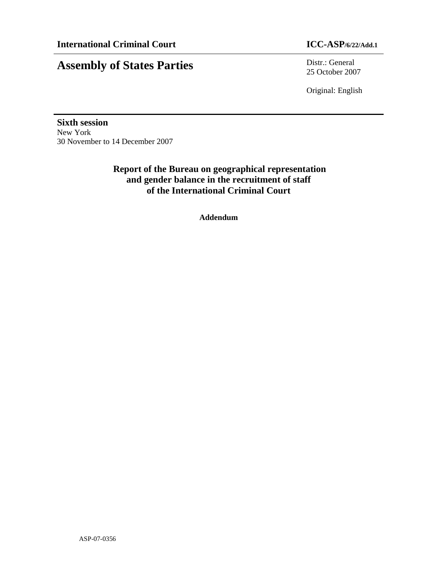# **Assembly of States Parties** Distr.: General

25 October 2007

Original: English

**Sixth session**  New York 30 November to 14 December 2007

## **Report of the Bureau on geographical representation and gender balance in the recruitment of staff of the International Criminal Court**

**Addendum**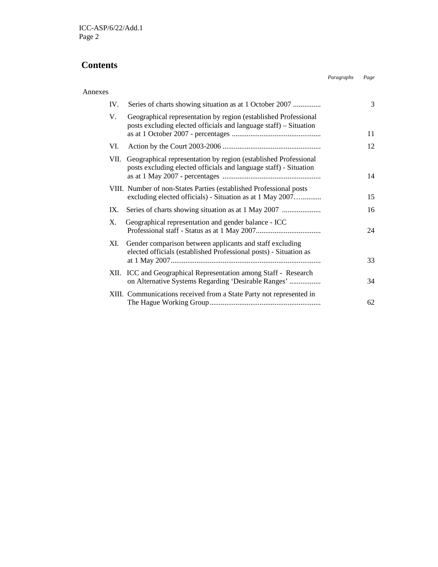#### **Contents**

### Annexes IV. Series of charts showing situation as at 1 October 2007 ................................ 3 V. Geographical representation by region (established Professional posts excluding elected officials and language staff) – Situation as at 1 October 2007 - percentages ................................................................ 11 VI. Action by the Court 2003-2006 ................................................................ 12 VII. Geographical representation by region (established Professional posts excluding elected officials and language staff) - Situation as at 1 May 2007 - percentages ................................................................ 14 VIII. Number of non-States Parties (established Professional posts excluding elected officials) - Situation as at 1 May 2007…............. 15 IX. Series of charts showing situation as at 1 May 2007 ................................ 16 X. Geographical representation and gender balance - ICC Professional staff - Status as at 1 May 2007...................................................... 24 XI. Gender comparison between applicants and staff excluding elected officials (established Professional posts) - Situation as at 1 May 2007................................................................................................ 33 XII. ICC and Geographical Representation among Staff - Research on Alternative Systems Regarding 'Desirable Ranges' ................................ 34 XIII. Communications received from a State Party not represented in The Hague Working Group................................................................ 62

*Paragraphs Page*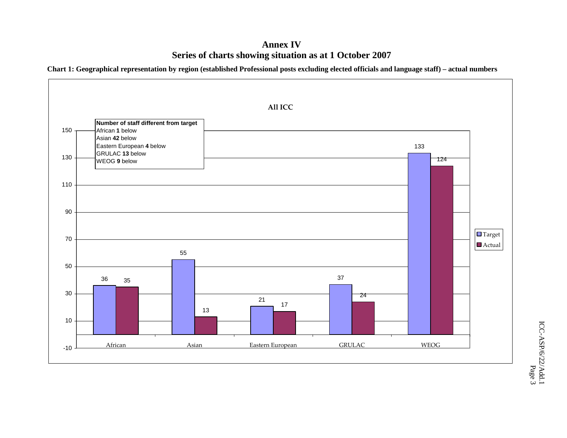### **Annex IV Series of charts showing situation as at 1 October 2007**

**Chart 1: Geographical representation by region (established Professional posts excluding elected officials and language staff) – actual numbers** 

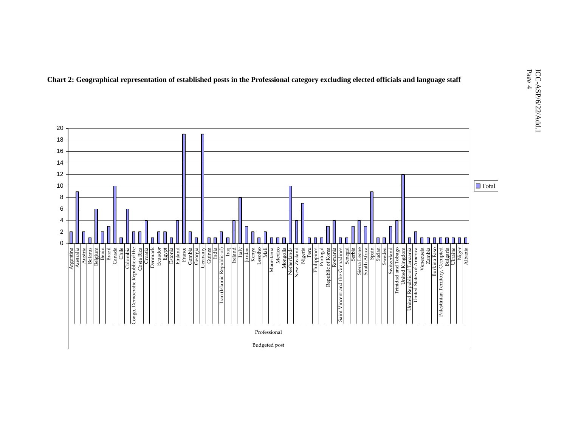

**Chart 2: Geographical representation of established posts in the Professional category excluding elected officials and language staff** 

Budgeted post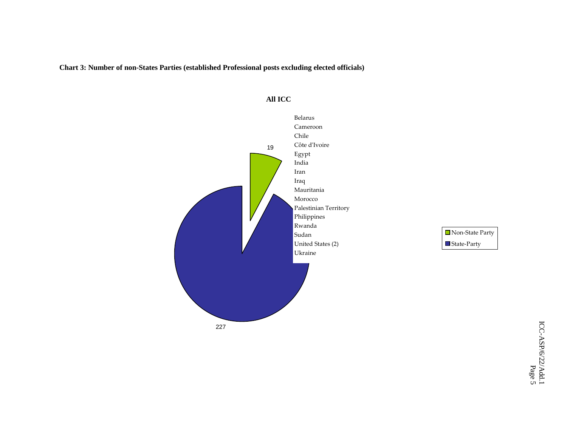**Chart 3: Number of non-States Parties (established Professional posts excluding elected officials)** 



#### $\overline{A}$ umber  $\overline{B}$ **All ICC**

■ Non-State Party State-Party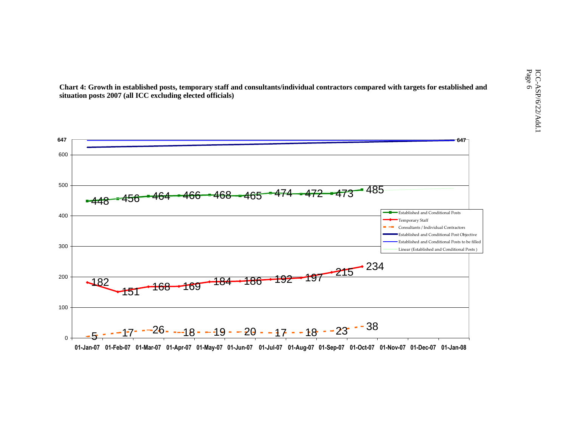ICC-ASP/6/22/Adding elected officials)<br>ICC-ASP/6/22/Adding elected officials)<br>DO7 (all ICC excluding elected officials)<br>Consultants/individual contractors compared with targets for established and  $\begin{array}{c} \sim\ \infty \rightarrow \infty \rightarrow \infty$ **Chart 4: Growth in established posts, temporary staff and consultants/individual contractors compared with targets for established and situation posts 2007 (all ICC excluding elected officials)** 

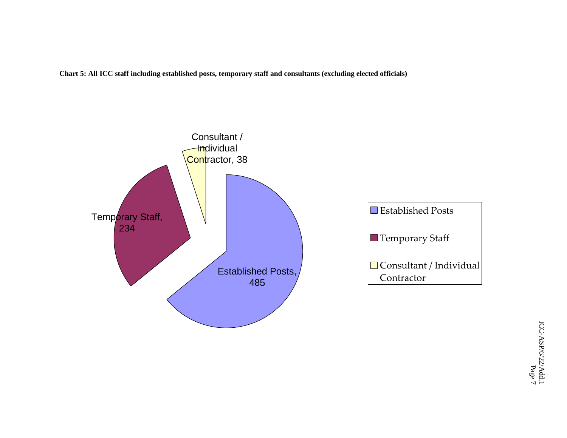**Chart 5: All ICC staff including established posts, temporary staff and consultants (excluding elected officials)** 

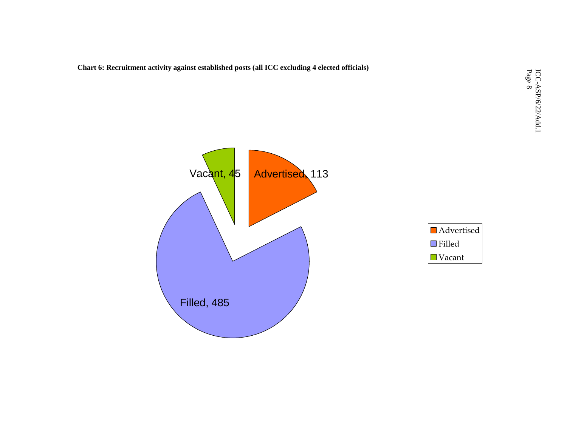**Chart 6: Recruitment activity against established posts (all ICC excluding 4 elected officials)** 

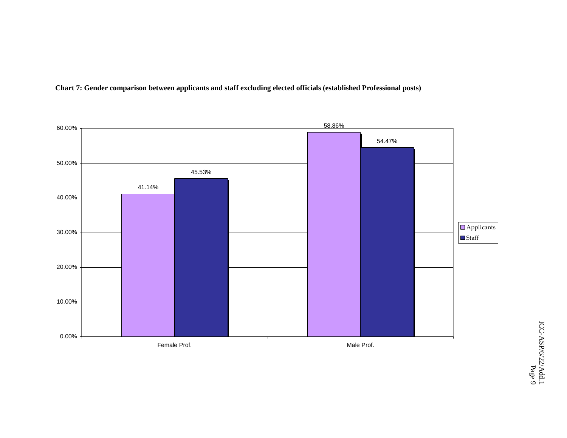

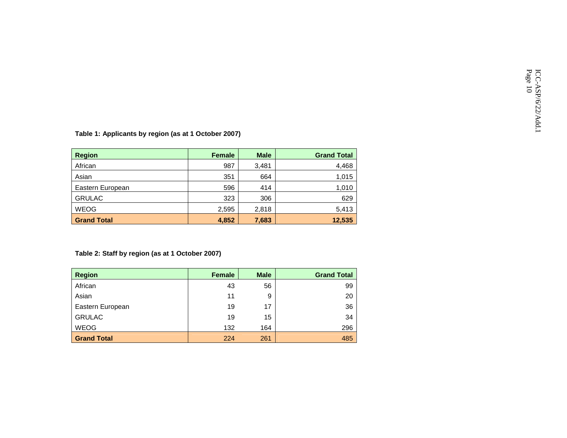| <b>Region</b>      | <b>Female</b> | <b>Male</b> | <b>Grand Total</b> |
|--------------------|---------------|-------------|--------------------|
| African            | 987           | 3,481       | 4,468              |
| Asian              | 351           | 664         | 1,015              |
| Eastern European   | 596           | 414         | 1,010              |
| <b>GRULAC</b>      | 323           | 306         | 629                |
| <b>WEOG</b>        | 2,595         | 2,818       | 5,413              |
| <b>Grand Total</b> | 4,852         | 7,683       | 12,535             |

Table 1: Applicants by region (as at 1 October 2007)<br>C C-ASP/6/22/<br>Table 1: Applicants by region (as at 1 October 2007)

#### **Table 2: Staff by region (as at 1 October 2007)**

| <b>Region</b>      | <b>Female</b> | <b>Male</b> | <b>Grand Total</b> |
|--------------------|---------------|-------------|--------------------|
| African            | 43            | 56          | 99                 |
| Asian              | 11            | 9           | 20                 |
| Eastern European   | 19            | 17          | 36                 |
| <b>GRULAC</b>      | 19            | 15          | 34                 |
| <b>WEOG</b>        | 132           | 164         | 296                |
| <b>Grand Total</b> | 224           | 261         | 485                |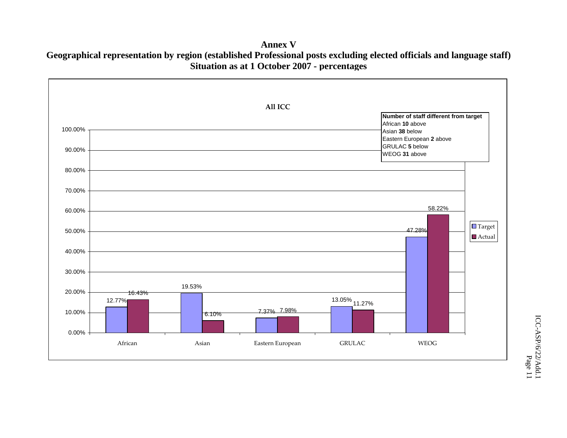Geographical representation by region (established Professional posts excluding elected officials and language staff) **Annex V Situation as at 1 October 2007 - percentages**

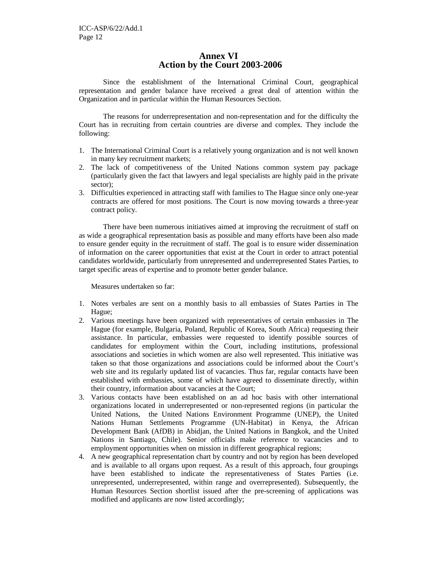#### **Annex VI Action by the Court 2003-2006**

Since the establishment of the International Criminal Court, geographical representation and gender balance have received a great deal of attention within the Organization and in particular within the Human Resources Section.

The reasons for underrepresentation and non-representation and for the difficulty the Court has in recruiting from certain countries are diverse and complex. They include the following:

- 1. The International Criminal Court is a relatively young organization and is not well known in many key recruitment markets;
- 2. The lack of competitiveness of the United Nations common system pay package (particularly given the fact that lawyers and legal specialists are highly paid in the private sector);
- 3. Difficulties experienced in attracting staff with families to The Hague since only one-year contracts are offered for most positions. The Court is now moving towards a three-year contract policy.

There have been numerous initiatives aimed at improving the recruitment of staff on as wide a geographical representation basis as possible and many efforts have been also made to ensure gender equity in the recruitment of staff. The goal is to ensure wider dissemination of information on the career opportunities that exist at the Court in order to attract potential candidates worldwide, particularly from unrepresented and underrepresented States Parties, to target specific areas of expertise and to promote better gender balance.

Measures undertaken so far:

- 1. Notes verbales are sent on a monthly basis to all embassies of States Parties in The Hague;
- 2. Various meetings have been organized with representatives of certain embassies in The Hague (for example, Bulgaria, Poland, Republic of Korea, South Africa) requesting their assistance. In particular, embassies were requested to identify possible sources of candidates for employment within the Court, including institutions, professional associations and societies in which women are also well represented. This initiative was taken so that those organizations and associations could be informed about the Court's web site and its regularly updated list of vacancies. Thus far, regular contacts have been established with embassies, some of which have agreed to disseminate directly, within their country, information about vacancies at the Court;
- 3. Various contacts have been established on an ad hoc basis with other international organizations located in underrepresented or non-represented regions (in particular the United Nations, the United Nations Environment Programme (UNEP), the United Nations Human Settlements Programme (UN-Habitat) in Kenya, the African Development Bank (AfDB) in Abidjan, the United Nations in Bangkok, and the United Nations in Santiago, Chile). Senior officials make reference to vacancies and to employment opportunities when on mission in different geographical regions;
- 4. A new geographical representation chart by country and not by region has been developed and is available to all organs upon request. As a result of this approach, four groupings have been established to indicate the representativeness of States Parties (i.e. unrepresented, underrepresented, within range and overrepresented). Subsequently, the Human Resources Section shortlist issued after the pre-screening of applications was modified and applicants are now listed accordingly;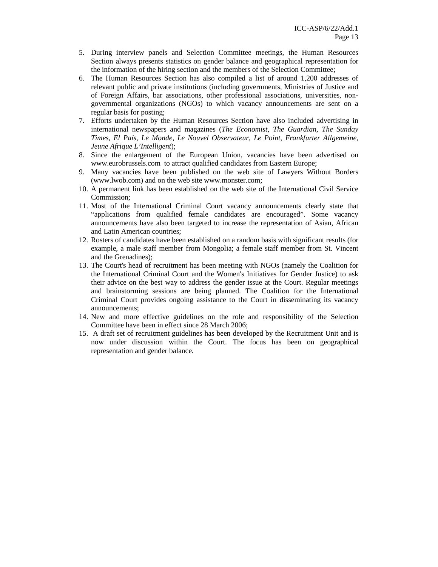- 5. During interview panels and Selection Committee meetings, the Human Resources Section always presents statistics on gender balance and geographical representation for the information of the hiring section and the members of the Selection Committee;
- 6. The Human Resources Section has also compiled a list of around 1,200 addresses of relevant public and private institutions (including governments, Ministries of Justice and of Foreign Affairs, bar associations, other professional associations, universities, nongovernmental organizations (NGOs) to which vacancy announcements are sent on a regular basis for posting;
- 7. Efforts undertaken by the Human Resources Section have also included advertising in international newspapers and magazines (*The Economist, The Guardian, The Sunday Times, El País, Le Monde, Le Nouvel Observateur, Le Point, Frankfurter Allgemeine, Jeune Afrique L'Intelligent*);
- 8. Since the enlargement of the European Union, vacancies have been advertised on www.eurobrussels.com to attract qualified candidates from Eastern Europe;
- 9. Many vacancies have been published on the web site of Lawyers Without Borders (www.lwob.com) and on the web site www.monster.com;
- 10. A permanent link has been established on the web site of the International Civil Service Commission;
- 11. Most of the International Criminal Court vacancy announcements clearly state that "applications from qualified female candidates are encouraged". Some vacancy announcements have also been targeted to increase the representation of Asian, African and Latin American countries;
- 12. Rosters of candidates have been established on a random basis with significant results (for example, a male staff member from Mongolia; a female staff member from St. Vincent and the Grenadines);
- 13. The Court's head of recruitment has been meeting with NGOs (namely the Coalition for the International Criminal Court and the Women's Initiatives for Gender Justice) to ask their advice on the best way to address the gender issue at the Court. Regular meetings and brainstorming sessions are being planned. The Coalition for the International Criminal Court provides ongoing assistance to the Court in disseminating its vacancy announcements;
- 14. New and more effective guidelines on the role and responsibility of the Selection Committee have been in effect since 28 March 2006;
- 15. A draft set of recruitment guidelines has been developed by the Recruitment Unit and is now under discussion within the Court. The focus has been on geographical representation and gender balance.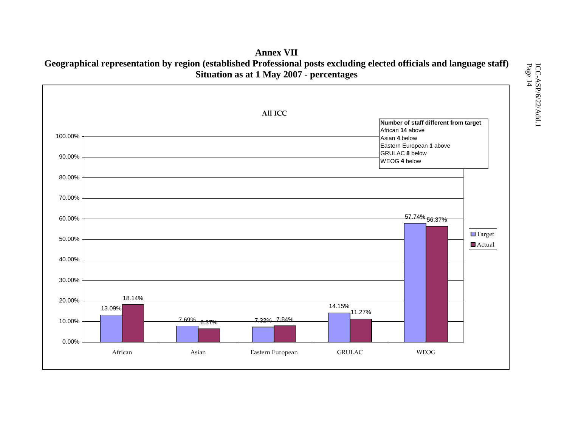### **Annex VII Geographical representation by region (established Professional posts excluding elected officials and language staff) Situation as at 1 May 2007 - percentages**

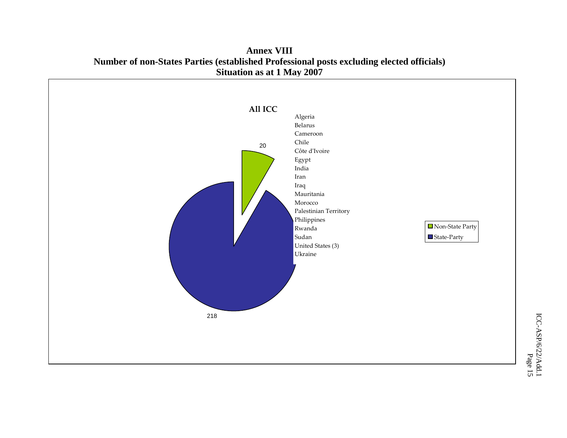

**Annex VIII Number of non-States Parties (established Professional posts excluding elected officials) Situation as at 1 May 2007**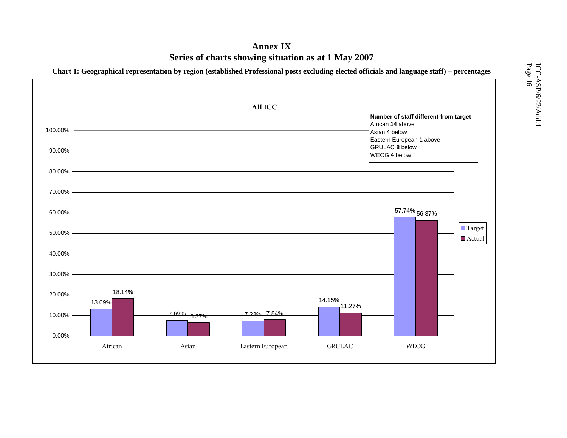## **Annex IX Series of charts showing situation as at 1 May 2007**

**Chart 1: Geographical representation by region (established Professional posts excluding elected officials and language staff) – percentages**

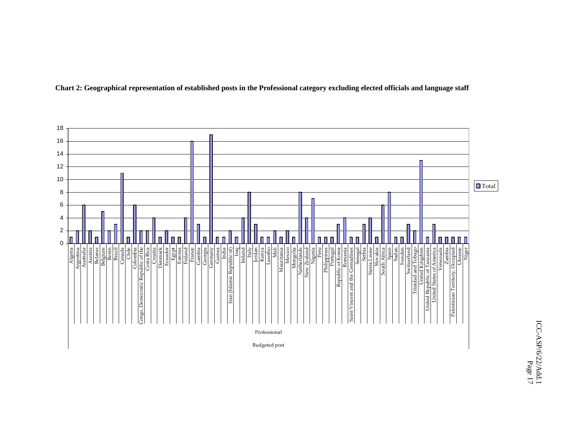

**Chart 2: Geographical representation of established posts in the Professional category excluding elected officials and language staff**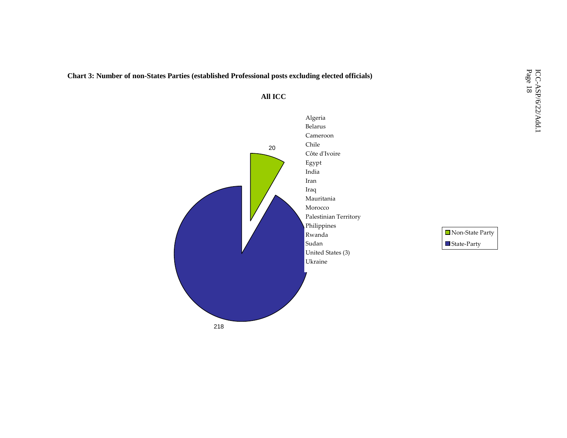**Chart 3: Number of non-States Parties (established Professional posts excluding elected officials)** 



**All ICC** 

State-Party Non-State Party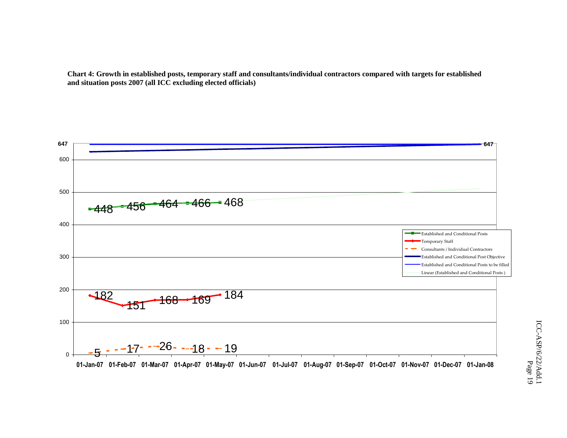**Chart 4: Growth in established posts, temporary staff and consultants/individual contractors compared with targets for established and situation posts 2007 (all ICC excluding elected officials)** 

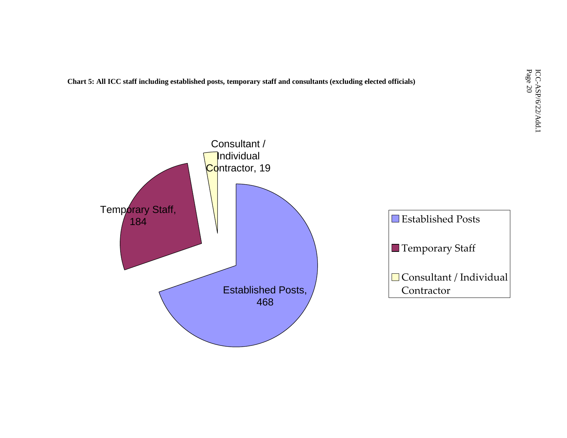If staff including established posts, temporary staff and consultants (excluding elected officials)<br>  $\begin{array}{c}\n\text{C.} \rightarrow \text{C.} \rightarrow \text{C.} \rightarrow \text{C.} \rightarrow \text{C.} \rightarrow \text{C.} \rightarrow \text{C.} \rightarrow \text{C.} \rightarrow \text{C.} \rightarrow \text{C.} \rightarrow \text{C.} \rightarrow \text{C.} \rightarrow \text{C.} \rightarrow \text{C.} \$ **Chart 5: All ICC staff including established posts, temporary staff and consultants (excluding elected officials)** 

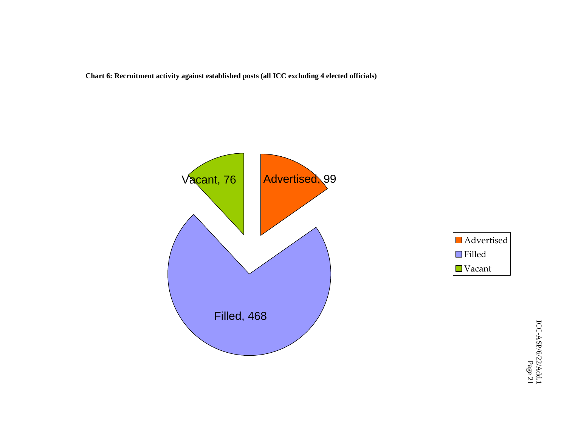**Chart 6: Recruitment activity against established posts (all ICC excluding 4 elected officials)** 



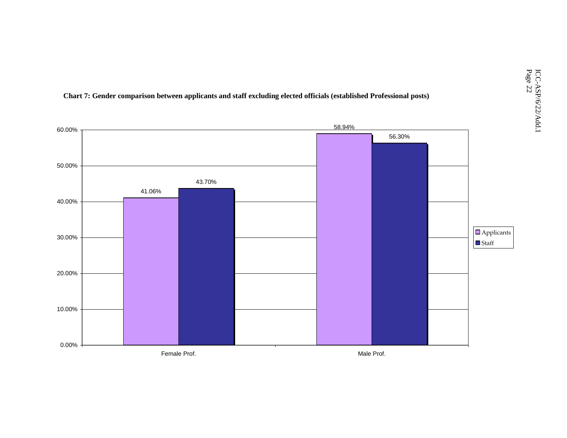

**Chart 7: Gender comparison between applicants and staff excluding elected officials (established Professional posts)**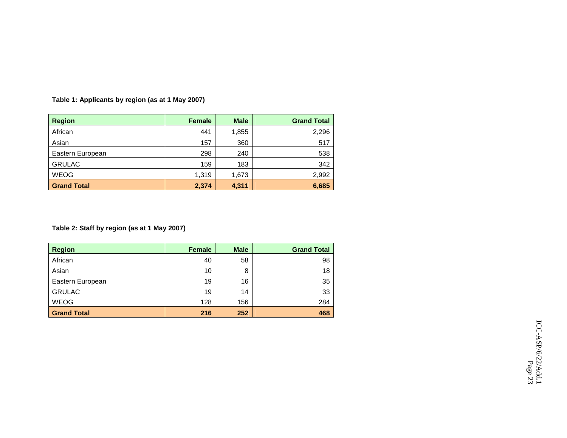| <b>Region</b>      | <b>Female</b> | <b>Male</b> | <b>Grand Total</b> |
|--------------------|---------------|-------------|--------------------|
| African            | 441           | 1,855       | 2,296              |
| Asian              | 157           | 360         | 517                |
| Eastern European   | 298           | 240         | 538                |
| <b>GRULAC</b>      | 159           | 183         | 342                |
| <b>WEOG</b>        | 1,319         | 1,673       | 2.992              |
| <b>Grand Total</b> | 2,374         | 4,311       | 6,685              |

**Table 1: Applicants by region (as at 1 May 2007)** 

#### **Table 2: Staff by region (as at 1 May 2007)**

| <b>Region</b>      | Female | <b>Male</b> | <b>Grand Total</b> |
|--------------------|--------|-------------|--------------------|
| African            | 40     | 58          | 98                 |
| Asian              | 10     | 8           | 18                 |
| Eastern European   | 19     | 16          | 35                 |
| <b>GRULAC</b>      | 19     | 14          | 33                 |
| <b>WEOG</b>        | 128    | 156         | 284                |
| <b>Grand Total</b> | 216    | 252         | 468                |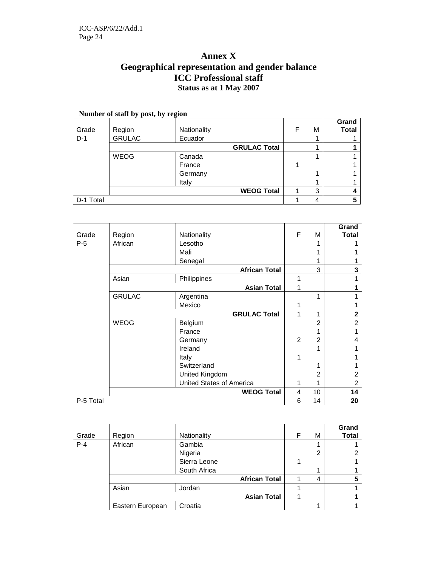### **Annex X Geographical representation and gender balance ICC Professional staff Status as at 1 May 2007**

| Number of staff by post, by region |               |             |                     |   |   |              |  |
|------------------------------------|---------------|-------------|---------------------|---|---|--------------|--|
|                                    |               |             |                     |   |   | Grand        |  |
| Grade                              | Region        | Nationality |                     | F | М | <b>Total</b> |  |
| $D-1$                              | <b>GRULAC</b> | Ecuador     |                     |   |   |              |  |
|                                    |               |             | <b>GRULAC Total</b> |   |   |              |  |
|                                    | <b>WEOG</b>   | Canada      |                     |   |   |              |  |
|                                    |               | France      |                     |   |   |              |  |
|                                    |               | Germany     |                     |   |   |              |  |
|                                    |               | Italy       |                     |   |   |              |  |
|                                    |               |             | <b>WEOG Total</b>   |   | 3 |              |  |
| D-1 Total                          |               |             |                     |   | Δ |              |  |

|           |               |                          |                |                | Grand          |
|-----------|---------------|--------------------------|----------------|----------------|----------------|
| Grade     | Region        | Nationality              | F              | М              | <b>Total</b>   |
| $P-5$     | African       | Lesotho                  |                |                |                |
|           |               | Mali                     |                |                |                |
|           |               | Senegal                  |                |                |                |
|           |               | <b>African Total</b>     |                | 3              | 3              |
|           | Asian         | Philippines              | 1              |                |                |
|           |               | <b>Asian Total</b>       | 1              |                |                |
|           | <b>GRULAC</b> | Argentina                |                |                |                |
|           |               | Mexico                   |                |                |                |
|           |               | <b>GRULAC Total</b>      | 1              | 1              | $\mathbf 2$    |
|           | <b>WEOG</b>   | Belgium                  |                | 2              | $\overline{2}$ |
|           |               | France                   |                |                |                |
|           |               | Germany                  | $\overline{2}$ | $\mathfrak{p}$ | 4              |
|           |               | Ireland                  |                |                |                |
|           |               | Italy                    |                |                |                |
|           |               | Switzerland              |                |                |                |
|           |               | United Kingdom           |                | 2              | 2              |
|           |               | United States of America | 1              |                | 2              |
|           |               | <b>WEOG Total</b>        | 4              | 10             | 14             |
| P-5 Total |               |                          | 6              | 14             | 20             |

| Grade   | Region           | Nationality  |                      | F | м | Grand<br><b>Total</b> |
|---------|------------------|--------------|----------------------|---|---|-----------------------|
| $P - 4$ | African          | Gambia       |                      |   |   |                       |
|         |                  | Nigeria      |                      |   | ◠ | ⌒                     |
|         |                  | Sierra Leone |                      |   |   |                       |
|         |                  | South Africa |                      |   |   |                       |
|         |                  |              | <b>African Total</b> |   | 4 |                       |
|         | Asian            | Jordan       |                      |   |   |                       |
|         |                  |              | <b>Asian Total</b>   |   |   |                       |
|         | Eastern European | Croatia      |                      |   |   |                       |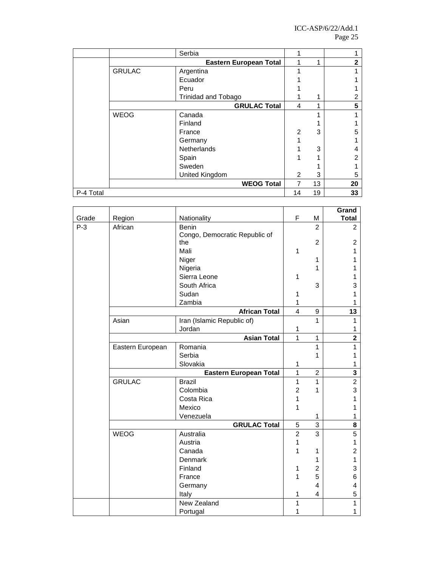|           |               | Serbia                        |                |    |    |
|-----------|---------------|-------------------------------|----------------|----|----|
|           |               | <b>Eastern European Total</b> |                | 4  | 2  |
|           | <b>GRULAC</b> | Argentina                     |                |    |    |
|           |               | Ecuador                       |                |    |    |
|           |               | Peru                          |                |    |    |
|           |               | <b>Trinidad and Tobago</b>    |                | 1  | 2  |
|           |               | <b>GRULAC Total</b>           | 4              | 1  | 5  |
|           | <b>WEOG</b>   | Canada                        |                |    |    |
|           |               | Finland                       |                |    |    |
|           |               | France                        | $\overline{2}$ | 3  | 5  |
|           |               | Germany                       |                |    |    |
|           |               | Netherlands                   |                | 3  | 4  |
|           |               | Spain                         |                |    | 2  |
|           |               | Sweden                        |                |    |    |
|           |               | United Kingdom                | 2              | 3  | 5  |
|           |               | <b>WEOG Total</b>             | 7              | 13 | 20 |
| P-4 Total |               |                               | 14             | 19 | 33 |

|       |                        |                               |                |                | Grand                   |
|-------|------------------------|-------------------------------|----------------|----------------|-------------------------|
| Grade | Region                 | Nationality                   | F              | M              | <b>Total</b>            |
| $P-3$ | African                | <b>Benin</b>                  |                | $\mathcal{P}$  | 2                       |
|       |                        | Congo, Democratic Republic of |                |                |                         |
|       |                        | the                           |                | 2              | $\overline{c}$          |
|       |                        | Mali                          | 1              |                | 1                       |
|       |                        | Niger                         |                | 1              | 1                       |
|       |                        | Nigeria                       |                | 1              | 1                       |
|       |                        | Sierra Leone                  | 1              |                | 1                       |
|       |                        | South Africa                  |                | 3              | 3                       |
|       |                        | Sudan                         | 1              |                | 1                       |
|       |                        | Zambia                        | 1              |                | 1                       |
|       |                        | <b>African Total</b>          | $\overline{4}$ | 9              | 13                      |
|       | Asian                  | Iran (Islamic Republic of)    |                | 1              | 1                       |
|       |                        | Jordan                        | 1              |                | 1                       |
|       |                        | <b>Asian Total</b>            | 1              | 1              | $\overline{\mathbf{2}}$ |
|       | Eastern European       | Romania                       |                | 1              | 1                       |
|       |                        | Serbia                        |                | 1              | 1                       |
|       |                        | Slovakia                      | 1              |                | 1                       |
|       | Eastern European Total |                               |                | $\overline{2}$ | 3                       |
|       | <b>GRULAC</b>          | <b>Brazil</b>                 | 1              | 1              | $\overline{2}$          |
|       |                        | Colombia                      | $\overline{2}$ | 1              | 3                       |
|       |                        | Costa Rica                    | 1              |                | 1                       |
|       |                        | Mexico                        | 1              |                | 1                       |
|       |                        | Venezuela                     |                | 1              | 1                       |
|       |                        | <b>GRULAC Total</b>           | 5              | 3              | 8                       |
|       | <b>WEOG</b>            | Australia                     | $\overline{2}$ | 3              | 5                       |
|       |                        | Austria                       | 1              |                | 1                       |
|       |                        | Canada                        | 1              | 1              | $\overline{c}$          |
|       |                        | <b>Denmark</b>                |                | 1              | 1                       |
|       |                        | Finland                       | 1              | 2              | 3                       |
|       |                        | France                        | 1              | 5              | 6                       |
|       |                        | Germany                       |                | 4              | 4                       |
|       |                        | Italy                         | 1              | 4              | 5                       |
|       |                        | New Zealand                   | 1              |                | 1                       |
|       |                        | Portugal                      | 1              |                | 1                       |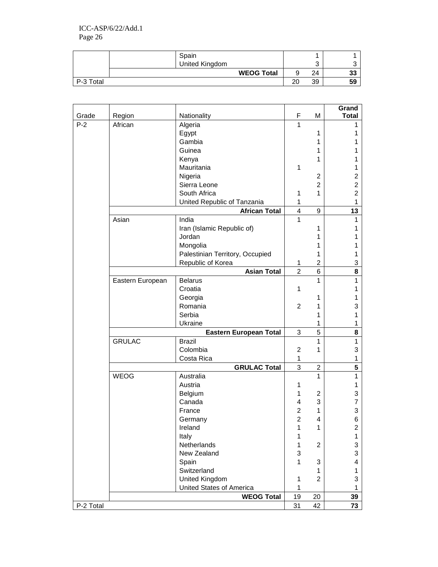|           | Spain             |    |    |    |
|-----------|-------------------|----|----|----|
|           | United Kingdom    |    |    |    |
|           | <b>WEOG Total</b> |    | 24 | 33 |
| P-3 Total |                   | 20 | 39 | 59 |

| Grade     | Region           |                                 | F                   | M              | Grand<br><b>Total</b> |
|-----------|------------------|---------------------------------|---------------------|----------------|-----------------------|
| $P-2$     | African          | Nationality<br>Algeria          | 1                   |                | 1                     |
|           |                  | Egypt                           |                     | 1              | 1                     |
|           |                  | Gambia                          |                     | 1              | 1                     |
|           |                  | Guinea                          |                     | 1              | 1                     |
|           |                  | Kenya                           |                     | 1              | 1                     |
|           |                  | Mauritania                      | 1                   |                | 1                     |
|           |                  | Nigeria                         |                     | $\overline{c}$ | 2                     |
|           |                  | Sierra Leone                    |                     | $\overline{2}$ | $\overline{c}$        |
|           |                  | South Africa                    | 1                   | 1              | $\overline{2}$        |
|           |                  | United Republic of Tanzania     | 1                   |                | 1                     |
|           |                  | <b>African Total</b>            | 4                   | 9              | 13                    |
|           | Asian            | India                           | 1                   |                | 1                     |
|           |                  | Iran (Islamic Republic of)      |                     | 1              | 1                     |
|           |                  | Jordan                          |                     | 1              |                       |
|           |                  | Mongolia                        |                     | 1              |                       |
|           |                  | Palestinian Territory, Occupied |                     | 1              | 1                     |
|           |                  | Republic of Korea               | 1                   | $\overline{2}$ | 3                     |
|           |                  | <b>Asian Total</b>              | $\overline{2}$      | 6              | 8                     |
|           | Eastern European | <b>Belarus</b>                  |                     | 1              | 1                     |
|           |                  | Croatia                         | 1                   |                | 1                     |
|           |                  | Georgia                         |                     | 1              | 1                     |
|           |                  | Romania                         | $\overline{2}$      | 1              | 3                     |
|           |                  | Serbia                          |                     | 1              | 1                     |
|           |                  | Ukraine                         |                     | 1              | 1                     |
|           |                  | Eastern European Total          | $\sqrt{3}$          | 5              | 8                     |
|           | <b>GRULAC</b>    | <b>Brazil</b>                   |                     | $\mathbf{1}$   | 1                     |
|           |                  | Colombia                        | $\overline{c}$      | 1              | 3                     |
|           |                  | Costa Rica                      | 1                   |                | 1                     |
|           |                  | <b>GRULAC Total</b>             | 3                   | $\overline{2}$ | 5                     |
|           | <b>WEOG</b>      | Australia                       |                     | $\mathbf{1}$   | 1                     |
|           |                  | Austria                         | 1                   |                | 1                     |
|           |                  | Belgium                         | 1                   | 2              | 3                     |
|           |                  | Canada                          | 4                   | 3              | 7                     |
|           |                  | France                          | 2<br>$\overline{2}$ | 1              | 3                     |
|           |                  | Germany                         |                     | 4              | 6                     |
|           |                  | Ireland<br>Italy                | 1<br>1              | 1              | 2<br>1                |
|           |                  | Netherlands                     | 1                   | $\overline{c}$ | 3                     |
|           |                  | New Zealand                     | 3                   |                | 3                     |
|           |                  | Spain                           | 1                   | 3              | 4                     |
|           |                  | Switzerland                     |                     | 1              | 1                     |
|           |                  | United Kingdom                  | 1                   | $\overline{2}$ | 3                     |
|           |                  | United States of America        | 1                   |                | 1                     |
|           |                  | <b>WEOG Total</b>               | 19                  | 20             | 39                    |
| P-2 Total |                  |                                 | 31                  | 42             | 73                    |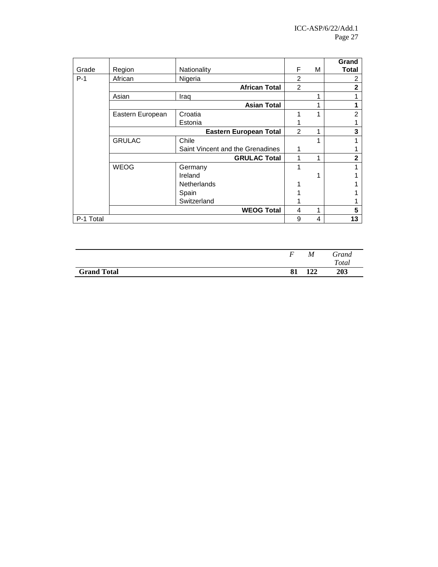|           |                               |                                  |                |   | Grand          |
|-----------|-------------------------------|----------------------------------|----------------|---|----------------|
| Grade     | Region                        | Nationality                      | F              | М | <b>Total</b>   |
| $P-1$     | African                       | Nigeria                          | $\overline{2}$ |   | 2              |
|           |                               | <b>African Total</b>             | $\overline{2}$ |   | $\overline{2}$ |
|           | Asian                         | Iraq                             |                |   |                |
|           |                               | <b>Asian Total</b>               |                |   |                |
|           | Eastern European              | Croatia                          |                |   | $\mathfrak{p}$ |
|           |                               | Estonia                          |                |   |                |
|           | <b>Eastern European Total</b> |                                  |                |   | 3              |
|           | <b>GRULAC</b>                 | Chile                            |                |   |                |
|           |                               | Saint Vincent and the Grenadines |                |   |                |
|           |                               | <b>GRULAC Total</b>              |                |   | $\mathbf{2}$   |
|           | <b>WEOG</b>                   | Germany                          |                |   |                |
|           |                               | Ireland                          |                |   |                |
|           |                               | <b>Netherlands</b>               |                |   |                |
|           |                               | Spain                            |                |   |                |
|           |                               | Switzerland                      |                |   |                |
|           |                               | <b>WEOG Total</b>                | 4              | 1 | 5              |
| P-1 Total |                               |                                  | 9              | 4 | 13             |

| 122<br><b>Grand Total</b><br>81 | Grand        |
|---------------------------------|--------------|
|                                 | <b>Total</b> |
|                                 | 203          |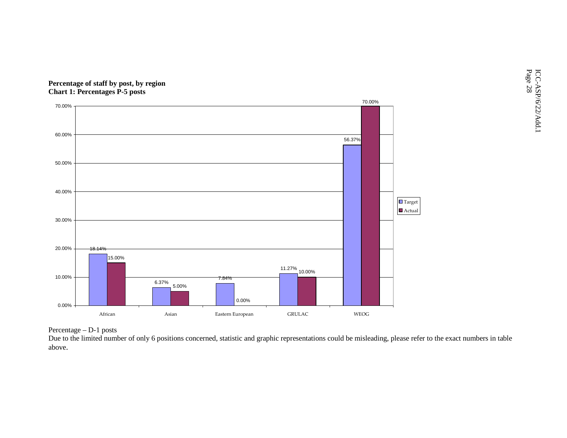



Percentage – D-1 posts

 Due to the limited number of only 6 positions concerned, statistic and graphic representations could be misleading, please refer to the exact numbers in table above.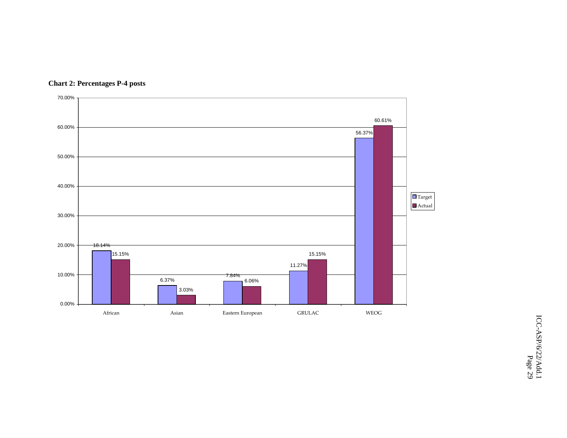

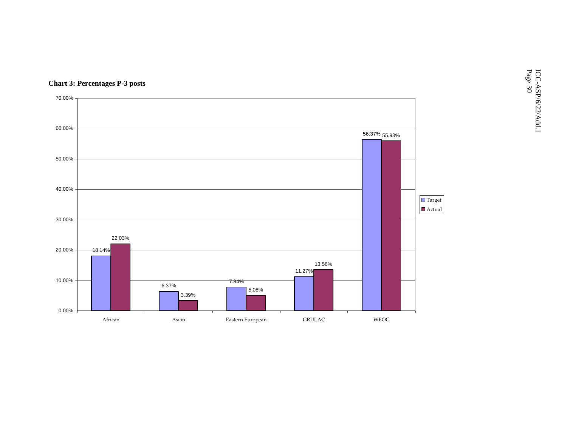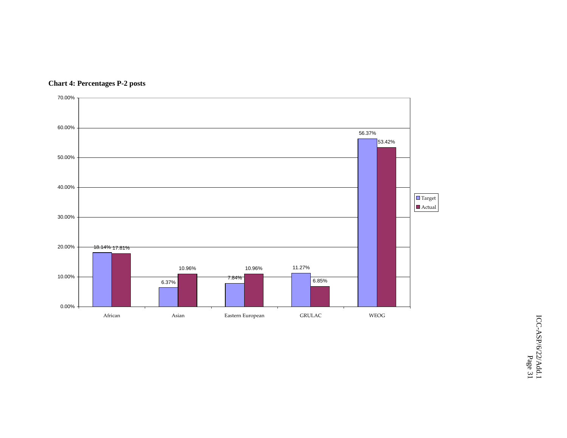

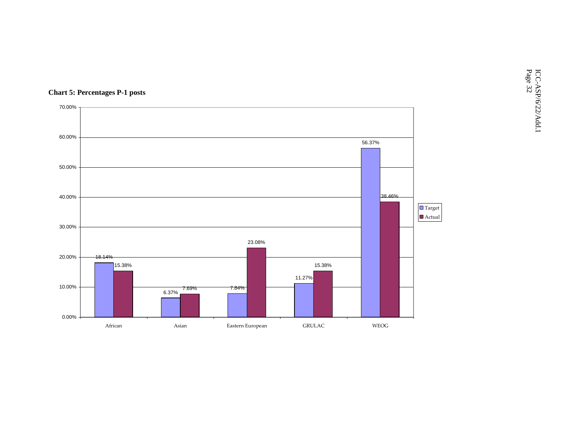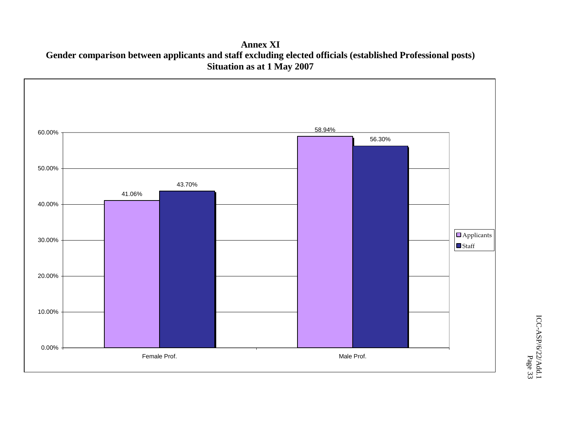**Annex XI Gender comparison between applicants and staff excluding elected officials (established Professional posts)Situation as at 1 May 2007** 



ICC-ASP/6/22/Add.1 ICC-ASP/6/22/Add.1<br>Page 33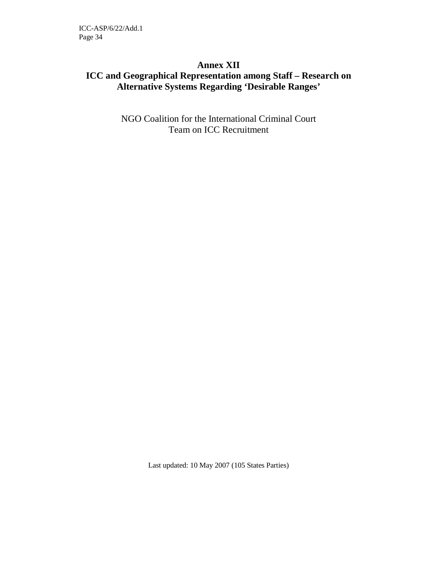### **Annex XII ICC and Geographical Representation among Staff – Research on Alternative Systems Regarding 'Desirable Ranges'**

NGO Coalition for the International Criminal Court Team on ICC Recruitment

Last updated: 10 May 2007 (105 States Parties)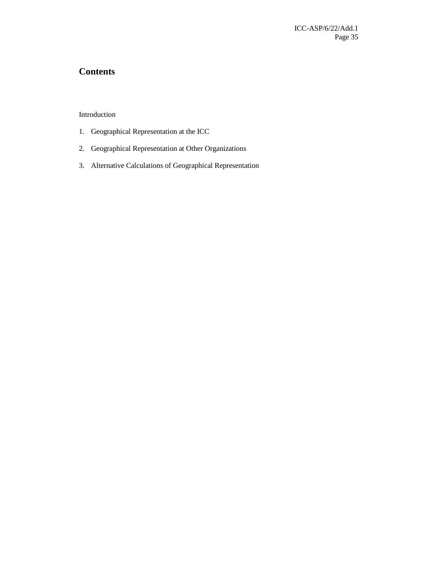### **Contents**

Introduction

- 1. Geographical Representation at the ICC
- 2. Geographical Representation at Other Organizations
- 3. Alternative Calculations of Geographical Representation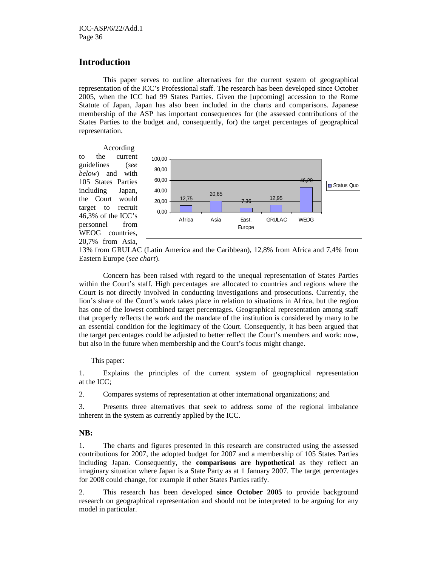#### **Introduction**

This paper serves to outline alternatives for the current system of geographical representation of the ICC's Professional staff. The research has been developed since October 2005, when the ICC had 99 States Parties. Given the [upcoming] accession to the Rome Statute of Japan, Japan has also been included in the charts and comparisons. Japanese membership of the ASP has important consequences for (the assessed contributions of the States Parties to the budget and, consequently, for) the target percentages of geographical representation.

According to the current guidelines (*see below*) and with 105 States Parties including Japan, the Court would target to recruit 46,3% of the ICC's personnel from WEOG countries, 20,7% from Asia,



13% from GRULAC (Latin America and the Caribbean), 12,8% from Africa and 7,4% from Eastern Europe (*see chart*).

Concern has been raised with regard to the unequal representation of States Parties within the Court's staff. High percentages are allocated to countries and regions where the Court is not directly involved in conducting investigations and prosecutions. Currently, the lion's share of the Court's work takes place in relation to situations in Africa, but the region has one of the lowest combined target percentages. Geographical representation among staff that properly reflects the work and the mandate of the institution is considered by many to be an essential condition for the legitimacy of the Court. Consequently, it has been argued that the target percentages could be adjusted to better reflect the Court's members and work: now, but also in the future when membership and the Court's focus might change.

#### This paper:

1. Explains the principles of the current system of geographical representation at the ICC;

2. Compares systems of representation at other international organizations; and

3. Presents three alternatives that seek to address some of the regional imbalance inherent in the system as currently applied by the ICC.

#### **NB:**

1. The charts and figures presented in this research are constructed using the assessed contributions for 2007, the adopted budget for 2007 and a membership of 105 States Parties including Japan. Consequently, the **comparisons are hypothetical** as they reflect an imaginary situation where Japan is a State Party as at 1 January 2007. The target percentages for 2008 could change, for example if other States Parties ratify.

2. This research has been developed **since October 2005** to provide background research on geographical representation and should not be interpreted to be arguing for any model in particular.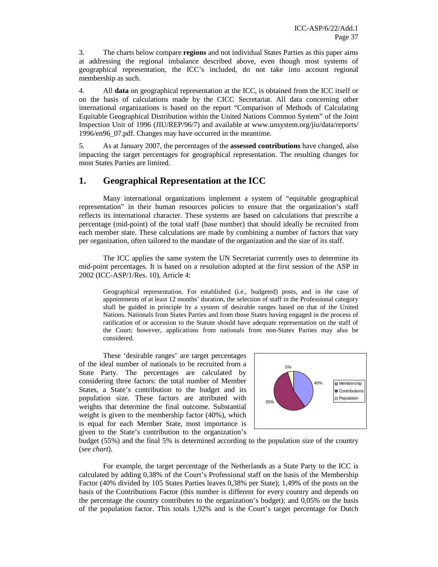3. The charts below compare **regions** and not individual States Parties as this paper aims at addressing the regional imbalance described above, even though most systems of geographical representation, the ICC's included, do not take into account regional membership as such.

4. All **data** on geographical representation at the ICC, is obtained from the ICC itself or on the basis of calculations made by the CICC Secretariat. All data concerning other international organizations is based on the report "Comparison of Methods of Calculating Equitable Geographical Distribution within the United Nations Common System" of the Joint Inspection Unit of 1996 (JIU/REP/96/7) and available at www.unsystem.org/jiu/data/reports/ 1996/en96\_07.pdf. Changes may have occurred in the meantime.

5. As at January 2007, the percentages of the **assessed contributions** have changed, also impacting the target percentages for geographical representation. The resulting changes for most States Parties are limited.

## **1. Geographical Representation at the ICC**

Many international organizations implement a system of "equitable geographical representation" in their human resources policies to ensure that the organization's staff reflects its international character. These systems are based on calculations that prescribe a percentage (mid-point) of the total staff (base number) that should ideally be recruited from each member state. These calculations are made by combining a number of factors that vary per organization, often tailored to the mandate of the organization and the size of its staff.

The ICC applies the same system the UN Secretariat currently uses to determine its mid-point percentages. It is based on a resolution adopted at the first session of the ASP in 2002 (ICC-ASP/1/Res. 10), Article 4:

Geographical representation. For established (i.e., budgeted) posts, and in the case of appointments of at least 12 months' duration, the selection of staff in the Professional category shall be guided in principle by a system of desirable ranges based on that of the United Nations. Nationals from States Parties and from those States having engaged in the process of ratification of or accession to the Statute should have adequate representation on the staff of the Court; however, applications from nationals from non-States Parties may also be considered.

These 'desirable ranges' are target percentages of the ideal number of nationals to be recruited from a State Party. The percentages are calculated by considering three factors: the total number of Member States, a State's contribution to the budget and its population size. These factors are attributed with weights that determine the final outcome. Substantial weight is given to the membership factor (40%), which is equal for each Member State, most importance is given to the State's contribution to the organization's



budget (55%) and the final 5% is determined according to the population size of the country (*see chart*).

For example, the target percentage of the Netherlands as a State Party to the ICC is calculated by adding 0,38% of the Court's Professional staff on the basis of the Membership Factor (40% divided by 105 States Parties leaves 0,38% per State); 1,49% of the posts on the basis of the Contributions Factor (this number is different for every country and depends on the percentage the country contributes to the organization's budget); and 0,05% on the basis of the population factor. This totals 1,92% and is the Court's target percentage for Dutch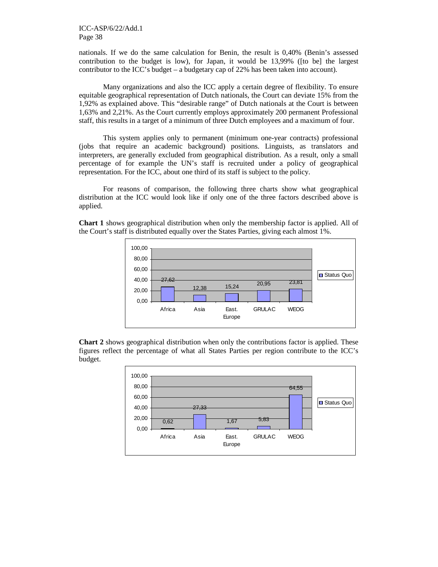nationals. If we do the same calculation for Benin, the result is 0,40% (Benin's assessed contribution to the budget is low), for Japan, it would be 13,99% ([to be] the largest contributor to the ICC's budget – a budgetary cap of 22% has been taken into account).

Many organizations and also the ICC apply a certain degree of flexibility. To ensure equitable geographical representation of Dutch nationals, the Court can deviate 15% from the 1,92% as explained above. This "desirable range" of Dutch nationals at the Court is between 1,63% and 2,21%. As the Court currently employs approximately 200 permanent Professional staff, this results in a target of a minimum of three Dutch employees and a maximum of four.

This system applies only to permanent (minimum one-year contracts) professional (jobs that require an academic background) positions. Linguists, as translators and interpreters, are generally excluded from geographical distribution. As a result, only a small percentage of for example the UN's staff is recruited under a policy of geographical representation. For the ICC, about one third of its staff is subject to the policy.

For reasons of comparison, the following three charts show what geographical distribution at the ICC would look like if only one of the three factors described above is applied.

**Chart 1** shows geographical distribution when only the membership factor is applied. All of the Court's staff is distributed equally over the States Parties, giving each almost 1%.



**Chart 2** shows geographical distribution when only the contributions factor is applied. These figures reflect the percentage of what all States Parties per region contribute to the ICC's budget.

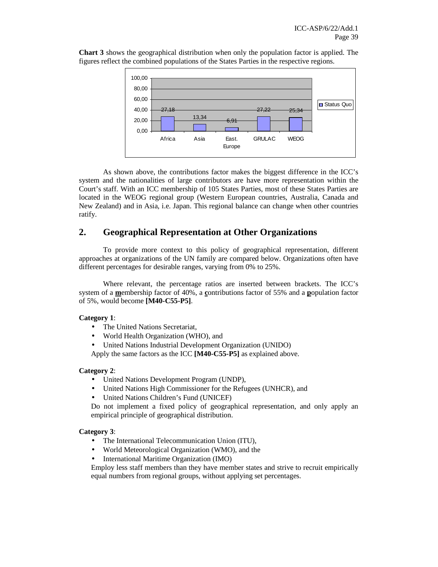**Chart 3** shows the geographical distribution when only the population factor is applied. The figures reflect the combined populations of the States Parties in the respective regions.



As shown above, the contributions factor makes the biggest difference in the ICC's system and the nationalities of large contributors are have more representation within the Court's staff. With an ICC membership of 105 States Parties, most of these States Parties are located in the WEOG regional group (Western European countries, Australia, Canada and New Zealand) and in Asia, i.e. Japan. This regional balance can change when other countries ratify.

# **2. Geographical Representation at Other Organizations**

To provide more context to this policy of geographical representation, different approaches at organizations of the UN family are compared below. Organizations often have different percentages for desirable ranges, varying from 0% to 25%.

Where relevant, the percentage ratios are inserted between brackets. The ICC's system of a **m**embership factor of 40%, a **c**ontributions factor of 55% and a **p**opulation factor of 5%, would become **[M40-C55-P5]**.

#### **Category 1**:

- The United Nations Secretariat,
- World Health Organization (WHO), and
- United Nations Industrial Development Organization (UNIDO)

Apply the same factors as the ICC **[M40-C55-P5]** as explained above.

#### **Category 2**:

- United Nations Development Program (UNDP),
- United Nations High Commissioner for the Refugees (UNHCR), and
- United Nations Children's Fund (UNICEF)

Do not implement a fixed policy of geographical representation, and only apply an empirical principle of geographical distribution.

#### **Category 3**:

- The International Telecommunication Union (ITU),
- World Meteorological Organization (WMO), and the
- International Maritime Organization (IMO)

Employ less staff members than they have member states and strive to recruit empirically equal numbers from regional groups, without applying set percentages.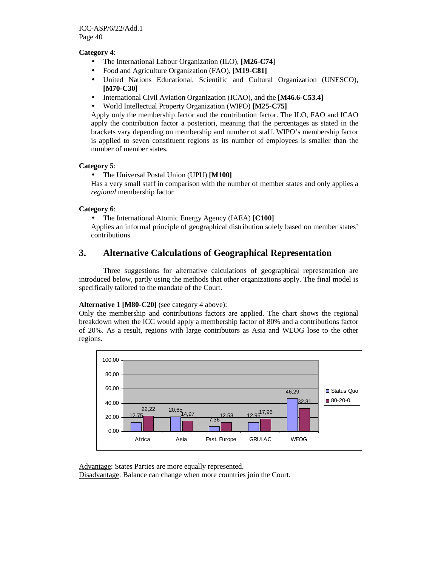## **Category 4**:

- The International Labour Organization (ILO), **[M26-C74]**
- Food and Agriculture Organization (FAO), **[M19-C81]**
- United Nations Educational, Scientific and Cultural Organization (UNESCO), **[M70-C30]**
- International Civil Aviation Organization (ICAO), and the **[M46.6-C53.4]**
- World Intellectual Property Organization (WIPO) **[M25-C75]**

Apply only the membership factor and the contribution factor. The ILO, FAO and ICAO apply the contribution factor a posteriori, meaning that the percentages as stated in the brackets vary depending on membership and number of staff. WIPO's membership factor is applied to seven constituent regions as its number of employees is smaller than the number of member states.

#### **Category 5**:

#### • The Universal Postal Union (UPU) **[M100]**

Has a very small staff in comparison with the number of member states and only applies a *regional* membership factor

#### **Category 6**:

• The International Atomic Energy Agency (IAEA) **[C100]**

Applies an informal principle of geographical distribution solely based on member states' contributions.

# **3. Alternative Calculations of Geographical Representation**

Three suggestions for alternative calculations of geographical representation are introduced below, partly using the methods that other organizations apply. The final model is specifically tailored to the mandate of the Court.

## **Alternative 1 [M80-C20]** (see category 4 above):

Only the membership and contributions factors are applied. The chart shows the regional breakdown when the ICC would apply a membership factor of 80% and a contributions factor of 20%. As a result, regions with large contributors as Asia and WEOG lose to the other regions.



Advantage: States Parties are more equally represented.

Disadvantage: Balance can change when more countries join the Court.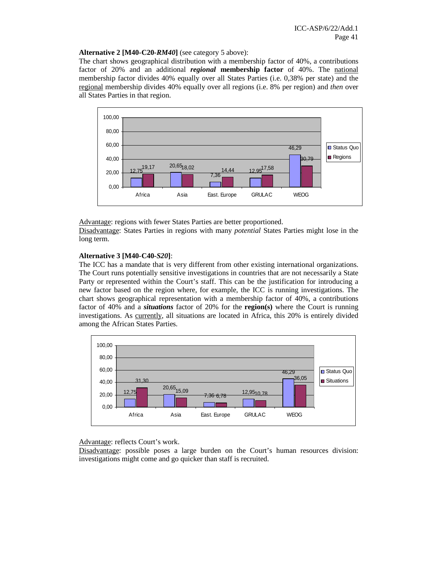#### **Alternative 2 [M40-C20-***RM40***]** (see category 5 above):

The chart shows geographical distribution with a membership factor of 40%, a contributions factor of 20% and an additional *regional* **membership factor** of 40%. The national membership factor divides 40% equally over all States Parties (i.e. 0,38% per state) and the regional membership divides 40% equally over all regions (i.e. 8% per region) and *then* over all States Parties in that region.



Advantage: regions with fewer States Parties are better proportioned.

Disadvantage: States Parties in regions with many *potential* States Parties might lose in the long term.

#### **Alternative 3 [M40-C40-***S20***]**:

The ICC has a mandate that is very different from other existing international organizations. The Court runs potentially sensitive investigations in countries that are not necessarily a State Party or represented within the Court's staff. This can be the justification for introducing a new factor based on the region where, for example, the ICC is running investigations. The chart shows geographical representation with a membership factor of 40%, a contributions factor of 40% and a *situations* factor of 20% for the **region(s)** where the Court is running investigations. As currently, all situations are located in Africa, this 20% is entirely divided among the African States Parties.



Advantage: reflects Court's work.

Disadvantage: possible poses a large burden on the Court's human resources division: investigations might come and go quicker than staff is recruited.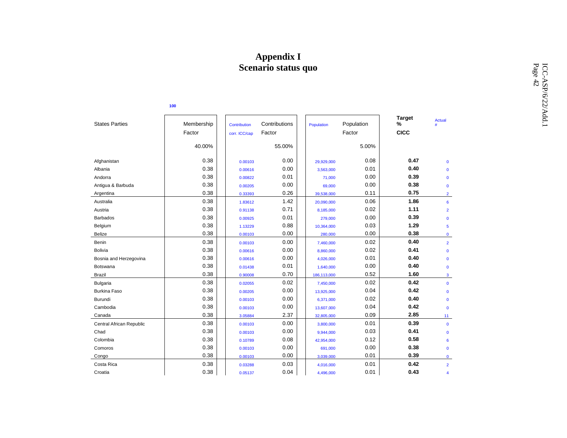# **Appendix I Scenario status quo**

| Scenario status quo      |            |               |               |             |            |                    |                         |  |                    |  |  |
|--------------------------|------------|---------------|---------------|-------------|------------|--------------------|-------------------------|--|--------------------|--|--|
|                          | 100        |               |               |             |            |                    |                         |  | ICC-ASP/6/22/Add.1 |  |  |
| <b>States Parties</b>    | Membership | Contribution  | Contributions | Population  | Population | <b>Target</b><br>% | Actual<br>#             |  |                    |  |  |
|                          | Factor     | corr. ICC/cap | Factor        |             | Factor     | <b>CICC</b>        |                         |  |                    |  |  |
|                          | 40.00%     |               | 55.00%        |             | 5.00%      |                    |                         |  |                    |  |  |
| Afghanistan              | 0.38       | 0.00103       | 0.00          | 29,929,000  | 0.08       | 0.47               | $\mathbf 0$             |  |                    |  |  |
| Albania                  | 0.38       | 0.00616       | 0.00          | 3,563,000   | 0.01       | 0.40               | $\mathbf 0$             |  |                    |  |  |
| Andorra                  | 0.38       | 0.00822       | 0.01          | 71,000      | 0.00       | 0.39               | $\mathbf 0$             |  |                    |  |  |
| Antigua & Barbuda        | 0.38       | 0.00205       | 0.00          | 69,000      | 0.00       | 0.38               | $\mathbf 0$             |  |                    |  |  |
| Argentina                | 0.38       | 0.33393       | 0.26          | 39,538,000  | 0.11       | 0.75               | $\overline{2}$          |  |                    |  |  |
| Australia                | 0.38       | 1.83612       | 1.42          | 20,090,000  | 0.06       | 1.86               | 6                       |  |                    |  |  |
| Austria                  | 0.38       | 0.91138       | 0.71          | 8,185,000   | 0.02       | 1.11               | $\overline{2}$          |  |                    |  |  |
| <b>Barbados</b>          | 0.38       | 0.00925       | 0.01          | 279,000     | 0.00       | 0.39               | $\mathbf 0$             |  |                    |  |  |
| Belgium                  | 0.38       | 1.13229       | 0.88          | 10,364,000  | 0.03       | 1.29               | $\overline{\mathbf{5}}$ |  |                    |  |  |
| Belize                   | 0.38       | 0.00103       | 0.00          | 280,000     | 0.00       | 0.38               | $\mathbf{0}$            |  |                    |  |  |
| Benin                    | 0.38       | 0.00103       | 0.00          | 7,460,000   | 0.02       | 0.40               | $\overline{2}$          |  |                    |  |  |
| <b>Bolivia</b>           | 0.38       | 0.00616       | 0.00          | 8,860,000   | 0.02       | 0.41               | $\mathbf 0$             |  |                    |  |  |
| Bosnia and Herzegovina   | 0.38       | 0.00616       | 0.00          | 4,026,000   | 0.01       | 0.40               | $\mathbf 0$             |  |                    |  |  |
| Botswana                 | 0.38       | 0.01438       | 0.01          | 1,640,000   | 0.00       | 0.40               | $\mathbf 0$             |  |                    |  |  |
| <b>Brazil</b>            | 0.38       | 0.90008       | 0.70          | 186,113,000 | 0.52       | 1.60               | $\mathbf{3}$            |  |                    |  |  |
| Bulgaria                 | 0.38       | 0.02055       | 0.02          | 7,450,000   | 0.02       | 0.42               | $\mathbf 0$             |  |                    |  |  |
| <b>Burkina Faso</b>      | 0.38       | 0.00205       | 0.00          | 13,925,000  | 0.04       | 0.42               | $\mathbf 0$             |  |                    |  |  |
| Burundi                  | 0.38       | 0.00103       | 0.00          | 6,371,000   | 0.02       | 0.40               | $\mathbf 0$             |  |                    |  |  |
| Cambodia                 | 0.38       | 0.00103       | 0.00          | 13,607,000  | 0.04       | 0.42               | $\mathbf 0$             |  |                    |  |  |
| Canada                   | 0.38       | 3.05884       | 2.37          | 32,805,000  | 0.09       | 2.85               | 11 <sub>1</sub>         |  |                    |  |  |
| Central African Republic | 0.38       | 0.00103       | 0.00          | 3,800,000   | 0.01       | 0.39               | $\mathbf{0}$            |  |                    |  |  |
| Chad                     | 0.38       | 0.00103       | 0.00          | 9,944,000   | 0.03       | 0.41               | $\mathbf 0$             |  |                    |  |  |
| Colombia                 | 0.38       | 0.10789       | 0.08          | 42,954,000  | 0.12       | 0.58               | 6                       |  |                    |  |  |
| Comoros                  | 0.38       | 0.00103       | 0.00          | 691,000     | 0.00       | 0.38               | $\mathbf 0$             |  |                    |  |  |
| Congo                    | 0.38       | 0.00103       | 0.00          | 3,039,000   | 0.01       | 0.39               | $\mathbf 0$             |  |                    |  |  |
| Costa Rica               | 0.38       | 0.03288       | 0.03          | 4,016,000   | 0.01       | 0.42               | $\overline{2}$          |  |                    |  |  |
| Croatia                  | 0.38       | 0.05137       | 0.04          | 4,496,000   | 0.01       | 0.43               | $\boldsymbol{\Delta}$   |  |                    |  |  |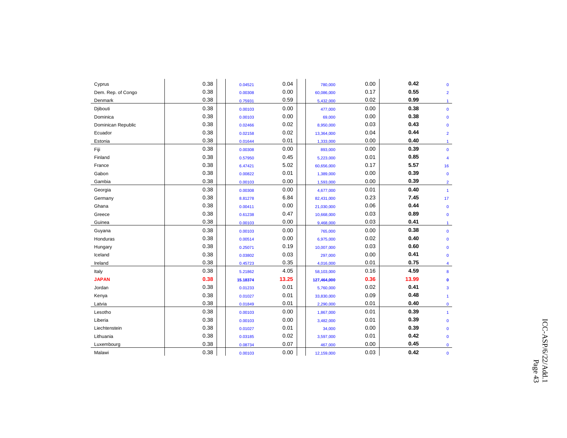| Cyprus             | 0.38 | 0.04521  | 0.04  | 780,000     | 0.00 | 0.42  | $\mathbf{0}$         |
|--------------------|------|----------|-------|-------------|------|-------|----------------------|
| Dem. Rep. of Congo | 0.38 | 0.00308  | 0.00  | 60,086,000  | 0.17 | 0.55  | $\overline{2}$       |
| Denmark            | 0.38 | 0.75931  | 0.59  | 5,432,000   | 0.02 | 0.99  | $\blacktriangleleft$ |
| Djibouti           | 0.38 | 0.00103  | 0.00  | 477,000     | 0.00 | 0.38  | $\mathbf 0$          |
| Dominica           | 0.38 | 0.00103  | 0.00  | 69,000      | 0.00 | 0.38  | $\mathbf{0}$         |
| Dominican Republic | 0.38 | 0.02466  | 0.02  | 8,950,000   | 0.03 | 0.43  | $\mathbf{0}$         |
| Ecuador            | 0.38 | 0.02158  | 0.02  | 13,364,000  | 0.04 | 0.44  | $\overline{2}$       |
| Estonia            | 0.38 | 0.01644  | 0.01  | 1,333,000   | 0.00 | 0.40  | $\mathbf{1}$         |
| Fiji               | 0.38 | 0.00308  | 0.00  | 893,000     | 0.00 | 0.39  | $\mathbf{0}$         |
| Finland            | 0.38 | 0.57950  | 0.45  | 5,223,000   | 0.01 | 0.85  | $\overline{4}$       |
| France             | 0.38 | 6.47421  | 5.02  | 60,656,000  | 0.17 | 5.57  | 16                   |
| Gabon              | 0.38 | 0.00822  | 0.01  | 1,389,000   | 0.00 | 0.39  | $\mathbf 0$          |
| Gambia             | 0.38 | 0.00103  | 0.00  | 1,593,000   | 0.00 | 0.39  | $\overline{2}$       |
| Georgia            | 0.38 | 0.00308  | 0.00  | 4,677,000   | 0.01 | 0.40  | $\mathbf{1}$         |
| Germany            | 0.38 | 8.81278  | 6.84  | 82,431,000  | 0.23 | 7.45  | 17                   |
| Ghana              | 0.38 | 0.00411  | 0.00  | 21,030,000  | 0.06 | 0.44  | $\mathbf 0$          |
| Greece             | 0.38 | 0.61238  | 0.47  | 10,668,000  | 0.03 | 0.89  | $\mathbf 0$          |
| Guinea             | 0.38 | 0.00103  | 0.00  | 9,468,000   | 0.03 | 0.41  | $\mathbf{1}$         |
| Guyana             | 0.38 | 0.00103  | 0.00  | 765,000     | 0.00 | 0.38  | $\mathbf{0}$         |
| Honduras           | 0.38 | 0.00514  | 0.00  | 6,975,000   | 0.02 | 0.40  | $\mathbf{0}$         |
| Hungary            | 0.38 | 0.25071  | 0.19  | 10,007,000  | 0.03 | 0.60  | $\mathbf{0}$         |
| Iceland            | 0.38 | 0.03802  | 0.03  | 297,000     | 0.00 | 0.41  | $\mathbf{0}$         |
| Ireland            | 0.38 | 0.45723  | 0.35  | 4,016,000   | 0.01 | 0.75  | 4                    |
| Italy              | 0.38 | 5.21862  | 4.05  | 58,103,000  | 0.16 | 4.59  | 8                    |
| <b>JAPAN</b>       | 0.38 | 15.18374 | 13.25 | 127,464,000 | 0.36 | 13.99 | $\mathbf{0}$         |
| Jordan             | 0.38 | 0.01233  | 0.01  | 5,760,000   | 0.02 | 0.41  | 3                    |
| Kenya              | 0.38 | 0.01027  | 0.01  | 33,830,000  | 0.09 | 0.48  | $\mathbf{1}$         |
| Latvia             | 0.38 | 0.01849  | 0.01  | 2,290,000   | 0.01 | 0.40  | $\mathbf 0$          |
| Lesotho            | 0.38 | 0.00103  | 0.00  | 1,867,000   | 0.01 | 0.39  | $\mathbf{1}$         |
| Liberia            | 0.38 | 0.00103  | 0.00  | 3,482,000   | 0.01 | 0.39  | $\mathbf{0}$         |
| Liechtenstein      | 0.38 | 0.01027  | 0.01  | 34,000      | 0.00 | 0.39  | $\mathbf 0$          |
| Lithuania          | 0.38 | 0.03185  | 0.02  | 3,597,000   | 0.01 | 0.42  | $\mathbf{0}$         |
| Luxembourg         | 0.38 | 0.08734  | 0.07  | 467,000     | 0.00 | 0.45  | $\mathbf 0$          |
| Malawi             | 0.38 | 0.00103  | 0.00  | 12,159,000  | 0.03 | 0.42  | $\mathbf 0$          |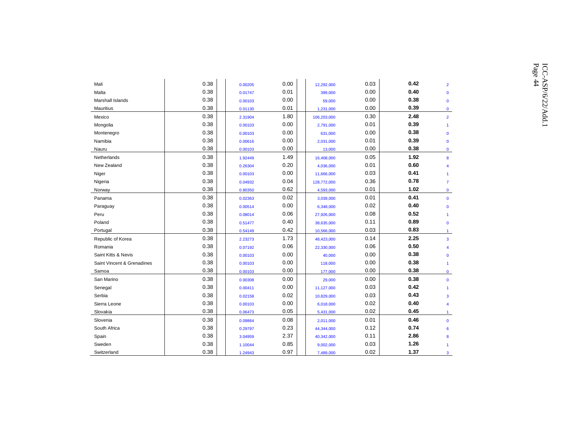|                            |      |         |      |             |      |      |                        | Page 44<br>ICC-ASP/6/22/Add.1 |
|----------------------------|------|---------|------|-------------|------|------|------------------------|-------------------------------|
| Mali                       | 0.38 | 0.00205 | 0.00 | 12,292,000  | 0.03 | 0.42 | $\overline{2}$         |                               |
| Malta                      | 0.38 | 0.01747 | 0.01 | 399,000     | 0.00 | 0.40 | $\mathbf{0}$           |                               |
| Marshall Islands           | 0.38 | 0.00103 | 0.00 | 59,000      | 0.00 | 0.38 | $\mathbf{0}$           |                               |
| Mauritius                  | 0.38 | 0.01130 | 0.01 | 1,231,000   | 0.00 | 0.39 | $\mathbf 0$            |                               |
| Mexico                     | 0.38 | 2.31904 | 1.80 | 106,203,000 | 0.30 | 2.48 | $\overline{2}$         |                               |
| Mongolia                   | 0.38 | 0.00103 | 0.00 | 2,791,000   | 0.01 | 0.39 |                        |                               |
| Montenegro                 | 0.38 | 0.00103 | 0.00 | 631,000     | 0.00 | 0.38 | $\mathbf 0$            |                               |
| Namibia                    | 0.38 | 0.00616 | 0.00 | 2,031,000   | 0.01 | 0.39 | $\mathbf 0$            |                               |
| Nauru                      | 0.38 | 0.00103 | 0.00 | 13,000      | 0.00 | 0.38 | $\mathbf 0$            |                               |
| Netherlands                | 0.38 | 1.92449 | 1.49 | 16,408,000  | 0.05 | 1.92 | 8                      |                               |
| New Zealand                | 0.38 | 0.26304 | 0.20 | 4,036,000   | 0.01 | 0.60 | $\boldsymbol{\Delta}$  |                               |
| Niger                      | 0.38 | 0.00103 | 0.00 | 11,666,000  | 0.03 | 0.41 |                        |                               |
| Nigeria                    | 0.38 | 0.04932 | 0.04 | 128,772,000 | 0.36 | 0.78 | $\overline{7}$         |                               |
| Norway                     | 0.38 | 0.80350 | 0.62 | 4,593,000   | 0.01 | 1.02 | $\mathbf{0}$           |                               |
| Panama                     | 0.38 | 0.02363 | 0.02 | 3,039,000   | 0.01 | 0.41 | $\mathbf 0$            |                               |
| Paraguay                   | 0.38 | 0.00514 | 0.00 | 6,348,000   | 0.02 | 0.40 | $\mathbf 0$            |                               |
| Peru                       | 0.38 | 0.08014 | 0.06 | 27,926,000  | 0.08 | 0.52 |                        |                               |
| Poland                     | 0.38 | 0.51477 | 0.40 | 38,635,000  | 0.11 | 0.89 | $\mathbf 0$            |                               |
| Portugal                   | 0.38 | 0.54149 | 0.42 | 10,566,000  | 0.03 | 0.83 | $\blacktriangleleft$   |                               |
| Republic of Korea          | 0.38 | 2.23273 | 1.73 | 48,423,000  | 0.14 | 2.25 | $\overline{3}$         |                               |
| Romania                    | 0.38 | 0.07192 | 0.06 | 22,330,000  | 0.06 | 0.50 | $\boldsymbol{\Lambda}$ |                               |
| Saint Kitts & Nevis        | 0.38 | 0.00103 | 0.00 | 40,000      | 0.00 | 0.38 | $\mathbf{0}$           |                               |
| Saint Vincent & Grenadines | 0.38 | 0.00103 | 0.00 | 118,000     | 0.00 | 0.38 | $\blacktriangleleft$   |                               |
| Samoa                      | 0.38 | 0.00103 | 0.00 | 177,000     | 0.00 | 0.38 | $\mathbf{0}$           |                               |
| San Marino                 | 0.38 | 0.00308 | 0.00 | 29,000      | 0.00 | 0.38 | $\mathbf 0$            |                               |
| Senegal                    | 0.38 | 0.00411 | 0.00 | 11,127,000  | 0.03 | 0.42 | $\blacktriangleleft$   |                               |
| Serbia                     | 0.38 | 0.02158 | 0.02 | 10,829,000  | 0.03 | 0.43 | 3                      |                               |
| Sierra Leone               | 0.38 | 0.00103 | 0.00 | 6,018,000   | 0.02 | 0.40 | $\overline{4}$         |                               |
| Slovakia                   | 0.38 | 0.06473 | 0.05 | 5,431,000   | 0.02 | 0.45 | $\blacktriangleleft$   |                               |
| Slovenia                   | 0.38 | 0.09864 | 0.08 | 2,011,000   | 0.01 | 0.46 | $\mathbf 0$            |                               |
| South Africa               | 0.38 | 0.29797 | 0.23 | 44,344,000  | 0.12 | 0.74 | 6                      |                               |
| Spain                      | 0.38 | 3.04959 | 2.37 | 40,342,000  | 0.11 | 2.86 | 8                      |                               |
| Sweden                     | 0.38 | 1.10044 | 0.85 | 9,002,000   | 0.03 | 1.26 |                        |                               |
| Switzerland                | 0.38 | 1.24943 | 0.97 | 7,489,000   | 0.02 | 1.37 | 3                      |                               |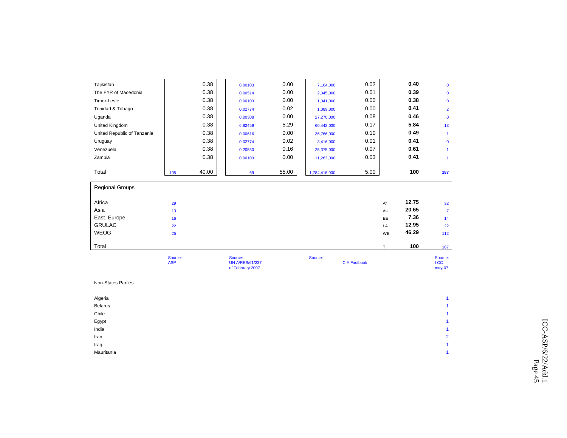| Tajikistan                  |                       | 0.38  | 0.00103                                               | 0.00  | 7,164,000     | 0.02                |           | 0.40  | $\mathbf{0}$                    |
|-----------------------------|-----------------------|-------|-------------------------------------------------------|-------|---------------|---------------------|-----------|-------|---------------------------------|
| The FYR of Macedonia        |                       | 0.38  | 0.00514                                               | 0.00  | 2,045,000     | 0.01                |           | 0.39  | $\mathbf 0$                     |
| Timor-Leste                 |                       | 0.38  | 0.00103                                               | 0.00  | 1,041,000     | 0.00                |           | 0.38  | $\mathbf 0$                     |
| Trinidad & Tobago           |                       | 0.38  | 0.02774                                               | 0.02  | 1,089,000     | 0.00                |           | 0.41  | $\overline{2}$                  |
| Uganda                      |                       | 0.38  | 0.00308                                               | 0.00  | 27,270,000    | 0.08                |           | 0.46  | $\mathbf{0}$                    |
| United Kingdom              |                       | 0.38  | 6.82459                                               | 5.29  | 60,442,000    | 0.17                |           | 5.84  | 13                              |
| United Republic of Tanzania |                       | 0.38  | 0.00616                                               | 0.00  | 36,766,000    | 0.10                |           | 0.49  | $\blacktriangleleft$            |
| Uruguay                     |                       | 0.38  | 0.02774                                               | 0.02  | 3,416,000     | 0.01                |           | 0.41  | $\mathbf{0}$                    |
| Venezuela                   |                       | 0.38  | 0.20550                                               | 0.16  | 25,375,000    | 0.07                |           | 0.61  | $\mathbf{1}$                    |
| Zambia                      |                       | 0.38  | 0.00103                                               | 0.00  | 11,262,000    | 0.03                |           | 0.41  | $\overline{1}$                  |
| Total                       | 105                   | 40.00 | 69                                                    | 55.00 | 1,784,416,000 | 5.00                |           | 100   | 187                             |
| <b>Regional Groups</b>      |                       |       |                                                       |       |               |                     |           |       |                                 |
| Africa                      | 29                    |       |                                                       |       |               |                     | Af        | 12.75 | 32 <sup>°</sup>                 |
| Asia                        | 13                    |       |                                                       |       |               |                     | As        | 20.65 | $\overline{7}$                  |
| East. Europe                | 16                    |       |                                                       |       |               |                     | <b>EE</b> | 7.36  | 14                              |
| <b>GRULAC</b>               | 22                    |       |                                                       |       |               |                     | LA        | 12.95 | 22                              |
| WEOG                        | 25                    |       |                                                       |       |               |                     | WE        | 46.29 | 112                             |
| Total                       |                       |       |                                                       |       |               |                     | T.        | 100   | 187                             |
|                             | Source:<br><b>ASP</b> |       | Source:<br><b>UN A/RES/61/237</b><br>of February 2007 |       | Source:       | <b>CIA Factbook</b> |           |       | Source:<br><b>ICC</b><br>may-07 |

| Non-States Parties |  |
|--------------------|--|
|--------------------|--|

| Algeria        |                      |
|----------------|----------------------|
| <b>Belarus</b> | $\overline{A}$       |
| Chile          |                      |
| Egypt          |                      |
| India          | $\blacktriangleleft$ |
| Iran           | $\overline{2}$       |
| Iraq           | $\overline{1}$       |
| Mauritania     |                      |
|                |                      |

 $\overline{1}$ 

 $\overline{1}$ 

 $\overline{1}$ 

 $\overline{2}$ 

 $\overline{1}$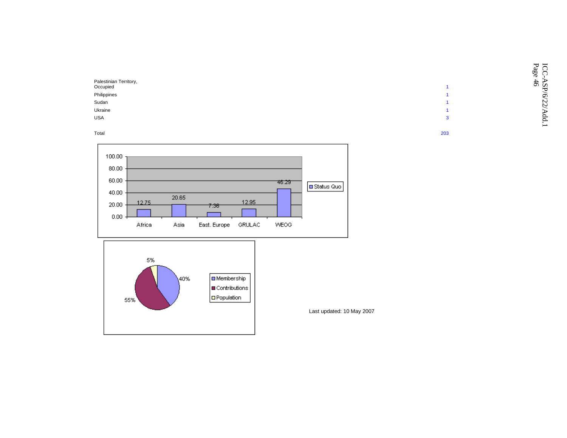|                                    |    | ᢣ<br>_<br>-<br>age<br>∽<br>( ) |
|------------------------------------|----|--------------------------------|
| Palestinian Territory,<br>Occupied |    | ┶<br>$\circ$<br>∽              |
| Philippines                        |    | ⊙                              |
| Sudan                              |    | ∾<br>N                         |
| Ukraine                            |    |                                |
| <b>USA</b>                         | -3 |                                |
|                                    |    |                                |

Total 203





Last updated: 10 May 2007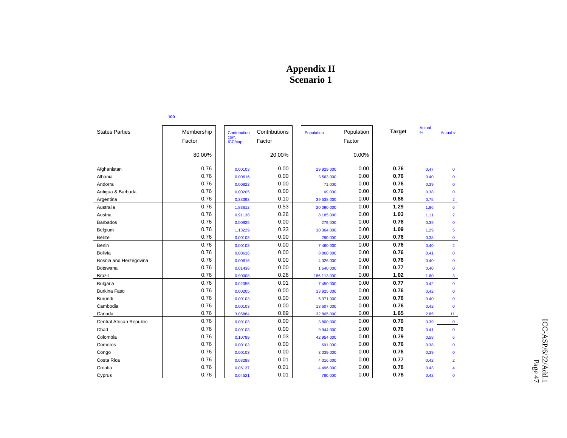# **Appendix II Scenario 1**

|                          |            |                       |               |             |            |               | <b>Actual</b> |                |
|--------------------------|------------|-----------------------|---------------|-------------|------------|---------------|---------------|----------------|
| <b>States Parties</b>    | Membership | Contribution<br>corr. | Contributions | Population  | Population | <b>Target</b> | %             | Actual #       |
|                          | Factor     | ICC/cap               | Factor        |             | Factor     |               |               |                |
|                          |            |                       |               |             |            |               |               |                |
|                          | 80.00%     |                       | 20.00%        |             | 0.00%      |               |               |                |
| Afghanistan              | 0.76       | 0.00103               | 0.00          | 29,929,000  | 0.00       | 0.76          | 0.47          | $\mathbf 0$    |
| Albania                  | 0.76       | 0.00616               | 0.00          | 3,563,000   | 0.00       | 0.76          | 0.40          | $\mathbf 0$    |
| Andorra                  | 0.76       | 0.00822               | 0.00          | 71,000      | 0.00       | 0.76          | 0.39          | $\mathbf 0$    |
| Antigua & Barbuda        | 0.76       | 0.00205               | 0.00          | 69,000      | 0.00       | 0.76          | 0.38          | $\mathbf{0}$   |
| Argentina                | 0.76       | 0.33393               | 0.10          | 39,538,000  | 0.00       | 0.86          | 0.75          | $\overline{2}$ |
| Australia                | 0.76       | 1.83612               | 0.53          | 20,090,000  | 0.00       | 1.29          | 1.86          | 6              |
| Austria                  | 0.76       | 0.91138               | 0.26          | 8,185,000   | 0.00       | 1.03          | 1.11          | $\overline{2}$ |
| <b>Barbados</b>          | 0.76       | 0.00925               | 0.00          | 279,000     | 0.00       | 0.76          | 0.39          | $\mathbf 0$    |
| Belgium                  | 0.76       | 1.13229               | 0.33          | 10,364,000  | 0.00       | 1.09          | 1.29          | 5              |
| <b>Belize</b>            | 0.76       | 0.00103               | 0.00          | 280,000     | 0.00       | 0.76          | 0.38          | 0              |
| Benin                    | 0.76       | 0.00103               | 0.00          | 7,460,000   | 0.00       | 0.76          | 0.40          | $\overline{2}$ |
| <b>Bolivia</b>           | 0.76       | 0.00616               | 0.00          | 8,860,000   | 0.00       | 0.76          | 0.41          | $\mathbf 0$    |
| Bosnia and Herzegovina   | 0.76       | 0.00616               | 0.00          | 4,026,000   | 0.00       | 0.76          | 0.40          | $\mathbf 0$    |
| Botswana                 | 0.76       | 0.01438               | 0.00          | 1,640,000   | 0.00       | 0.77          | 0.40          | $\mathbf{0}$   |
| Brazil                   | 0.76       | 0.90008               | 0.26          | 186,113,000 | 0.00       | 1.02          | 1.60          | 3              |
| <b>Bulgaria</b>          | 0.76       | 0.02055               | 0.01          | 7,450,000   | 0.00       | 0.77          | 0.42          | $\mathbf 0$    |
| <b>Burkina Faso</b>      | 0.76       | 0.00205               | 0.00          | 13,925,000  | 0.00       | 0.76          | 0.42          | $\mathbf 0$    |
| Burundi                  | 0.76       | 0.00103               | 0.00          | 6,371,000   | 0.00       | 0.76          | 0.40          | $\mathbf 0$    |
| Cambodia                 | 0.76       | 0.00103               | 0.00          | 13,607,000  | 0.00       | 0.76          | 0.42          | $\mathbf{0}$   |
| Canada                   | 0.76       | 3.05884               | 0.89          | 32,805,000  | 0.00       | 1.65          | 2.85          | 11             |
| Central African Republic | 0.76       | 0.00103               | 0.00          | 3,800,000   | 0.00       | 0.76          | 0.39          | $\mathbf 0$    |
| Chad                     | 0.76       | 0.00103               | 0.00          | 9,944,000   | 0.00       | 0.76          | 0.41          | $\mathbf 0$    |
| Colombia                 | 0.76       | 0.10789               | 0.03          | 42,954,000  | 0.00       | 0.79          | 0.58          | 6              |
| Comoros                  | 0.76       | 0.00103               | 0.00          | 691,000     | 0.00       | 0.76          | 0.38          | $\mathbf 0$    |
| Congo                    | 0.76       | 0.00103               | 0.00          | 3,039,000   | 0.00       | 0.76          | 0.39          | 0              |
| Costa Rica               | 0.76       | 0.03288               | 0.01          | 4,016,000   | 0.00       | 0.77          | 0.42          | $\overline{2}$ |
| Croatia                  | 0.76       | 0.05137               | 0.01          | 4,496,000   | 0.00       | 0.78          | 0.43          | 4              |
| Cyprus                   | 0.76       | 0.04521               | 0.01          | 780,000     | 0.00       | 0.78          | 0.42          | $\mathbf{0}$   |

**100**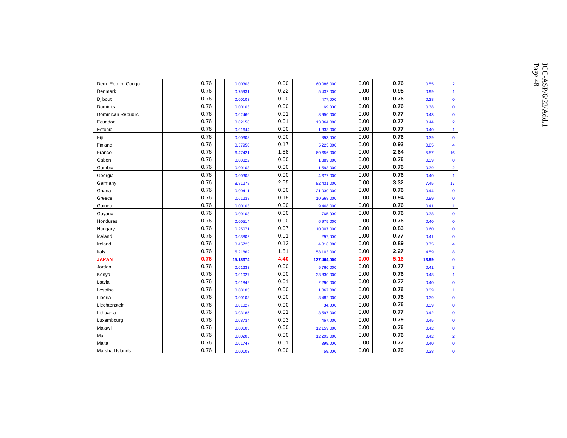| Dem. Rep. of Congo | 0.76 | 0.00308  | 0.00 | 60,086,000  | 0.00 | 0.76 | 0.55  | $\overline{2}$       |
|--------------------|------|----------|------|-------------|------|------|-------|----------------------|
| Denmark            | 0.76 | 0.75931  | 0.22 | 5.432.000   | 0.00 | 0.98 | 0.99  | $\blacktriangleleft$ |
| Djibouti           | 0.76 | 0.00103  | 0.00 | 477,000     | 0.00 | 0.76 | 0.38  | $\mathbf{0}$         |
| Dominica           | 0.76 | 0.00103  | 0.00 | 69,000      | 0.00 | 0.76 | 0.38  | $\mathbf{0}$         |
| Dominican Republic | 0.76 | 0.02466  | 0.01 | 8,950,000   | 0.00 | 0.77 | 0.43  | $\mathbf{0}$         |
| Ecuador            | 0.76 | 0.02158  | 0.01 | 13,364,000  | 0.00 | 0.77 | 0.44  | $\overline{2}$       |
| Estonia            | 0.76 | 0.01644  | 0.00 | 1,333,000   | 0.00 | 0.77 | 0.40  | $\mathbf{1}$         |
| Fiji               | 0.76 | 0.00308  | 0.00 | 893,000     | 0.00 | 0.76 | 0.39  | $\mathbf{0}$         |
| Finland            | 0.76 | 0.57950  | 0.17 | 5.223.000   | 0.00 | 0.93 | 0.85  | $\overline{4}$       |
| France             | 0.76 | 6.47421  | 1.88 | 60,656,000  | 0.00 | 2.64 | 5.57  | 16                   |
| Gabon              | 0.76 | 0.00822  | 0.00 | 1,389,000   | 0.00 | 0.76 | 0.39  | $\mathbf{0}$         |
| Gambia             | 0.76 | 0.00103  | 0.00 | 1,593,000   | 0.00 | 0.76 | 0.39  | $\overline{2}$       |
| Georgia            | 0.76 | 0.00308  | 0.00 | 4,677,000   | 0.00 | 0.76 | 0.40  | $\blacktriangleleft$ |
| Germany            | 0.76 | 8.81278  | 2.55 | 82,431,000  | 0.00 | 3.32 | 7.45  | 17                   |
| Ghana              | 0.76 | 0.00411  | 0.00 | 21,030,000  | 0.00 | 0.76 | 0.44  | $\mathbf 0$          |
| Greece             | 0.76 | 0.61238  | 0.18 | 10,668,000  | 0.00 | 0.94 | 0.89  | $\mathbf{0}$         |
| Guinea             | 0.76 | 0.00103  | 0.00 | 9,468,000   | 0.00 | 0.76 | 0.41  | $\mathbf{1}$         |
| Guyana             | 0.76 | 0.00103  | 0.00 | 765,000     | 0.00 | 0.76 | 0.38  | $\mathbf 0$          |
| Honduras           | 0.76 | 0.00514  | 0.00 | 6,975,000   | 0.00 | 0.76 | 0.40  | $\Omega$             |
| Hungary            | 0.76 | 0.25071  | 0.07 | 10,007,000  | 0.00 | 0.83 | 0.60  | $\mathbf 0$          |
| Iceland            | 0.76 | 0.03802  | 0.01 | 297,000     | 0.00 | 0.77 | 0.41  | $\Omega$             |
| Ireland            | 0.76 | 0.45723  | 0.13 | 4,016,000   | 0.00 | 0.89 | 0.75  | $\overline{4}$       |
| Italy              | 0.76 | 5.21862  | 1.51 | 58,103,000  | 0.00 | 2.27 | 4.59  | 8                    |
| <b>JAPAN</b>       | 0.76 | 15.18374 | 4.40 | 127,464,000 | 0.00 | 5.16 | 13.99 | $\mathbf{0}$         |
| Jordan             | 0.76 | 0.01233  | 0.00 | 5,760,000   | 0.00 | 0.77 | 0.41  | $\mathbf{3}$         |
| Kenya              | 0.76 | 0.01027  | 0.00 | 33,830,000  | 0.00 | 0.76 | 0.48  | $\overline{1}$       |
| Latvia             | 0.76 | 0.01849  | 0.01 | 2,290,000   | 0.00 | 0.77 | 0.40  | $\mathbf{0}$         |
| Lesotho            | 0.76 | 0.00103  | 0.00 | 1,867,000   | 0.00 | 0.76 | 0.39  | $\blacktriangleleft$ |
| Liberia            | 0.76 | 0.00103  | 0.00 | 3,482,000   | 0.00 | 0.76 | 0.39  | $\mathbf 0$          |
| Liechtenstein      | 0.76 | 0.01027  | 0.00 | 34,000      | 0.00 | 0.76 | 0.39  | $\mathbf 0$          |
| Lithuania          | 0.76 | 0.03185  | 0.01 | 3,597,000   | 0.00 | 0.77 | 0.42  | $\mathbf{0}$         |
| Luxembourg         | 0.76 | 0.08734  | 0.03 | 467,000     | 0.00 | 0.79 | 0.45  | $\mathbf{0}$         |
| Malawi             | 0.76 | 0.00103  | 0.00 | 12,159,000  | 0.00 | 0.76 | 0.42  | $\mathbf{0}$         |
| Mali               | 0.76 | 0.00205  | 0.00 | 12,292,000  | 0.00 | 0.76 | 0.42  | $\overline{2}$       |
| Malta              | 0.76 | 0.01747  | 0.01 | 399,000     | 0.00 | 0.77 | 0.40  | $\mathbf 0$          |
| Marshall Islands   | 0.76 | 0.00103  | 0.00 | 59,000      | 0.00 | 0.76 | 0.38  | $\Omega$             |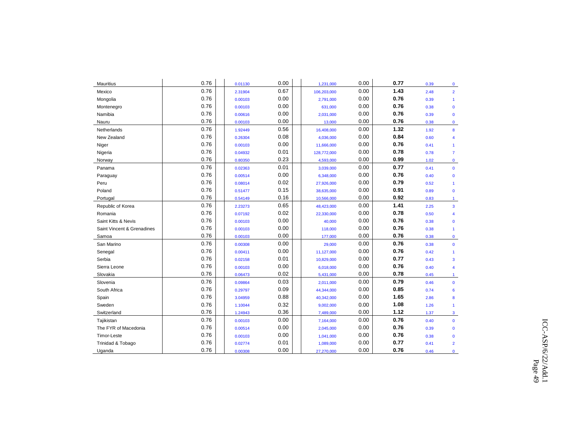| Mauritius                  | 0.76 | 0.01130 | 0.00 | 1,231,000   | 0.00 | 0.77 | 0.39 | $\mathbf 0$          |
|----------------------------|------|---------|------|-------------|------|------|------|----------------------|
| Mexico                     | 0.76 | 2.31904 | 0.67 | 106,203,000 | 0.00 | 1.43 | 2.48 | $\overline{2}$       |
| Mongolia                   | 0.76 | 0.00103 | 0.00 | 2,791,000   | 0.00 | 0.76 | 0.39 | $\mathbf{1}$         |
| Montenegro                 | 0.76 | 0.00103 | 0.00 | 631,000     | 0.00 | 0.76 | 0.38 | $\mathbf{0}$         |
| Namibia                    | 0.76 | 0.00616 | 0.00 | 2,031,000   | 0.00 | 0.76 | 0.39 | $\mathbf{0}$         |
| Nauru                      | 0.76 | 0.00103 | 0.00 | 13,000      | 0.00 | 0.76 | 0.38 | $\mathbf 0$          |
| Netherlands                | 0.76 | 1.92449 | 0.56 | 16,408,000  | 0.00 | 1.32 | 1.92 | 8                    |
| New Zealand                | 0.76 | 0.26304 | 0.08 | 4,036,000   | 0.00 | 0.84 | 0.60 | 4                    |
| Niger                      | 0.76 | 0.00103 | 0.00 | 11,666,000  | 0.00 | 0.76 | 0.41 | $\mathbf{1}$         |
| Nigeria                    | 0.76 | 0.04932 | 0.01 | 128,772,000 | 0.00 | 0.78 | 0.78 | $\overline{7}$       |
| Norway                     | 0.76 | 0.80350 | 0.23 | 4,593,000   | 0.00 | 0.99 | 1.02 | $\mathbf 0$          |
| Panama                     | 0.76 | 0.02363 | 0.01 | 3,039,000   | 0.00 | 0.77 | 0.41 | $\mathbf{0}$         |
| Paraguay                   | 0.76 | 0.00514 | 0.00 | 6,348,000   | 0.00 | 0.76 | 0.40 | $\mathbf{0}$         |
| Peru                       | 0.76 | 0.08014 | 0.02 | 27,926,000  | 0.00 | 0.79 | 0.52 | $\blacktriangleleft$ |
| Poland                     | 0.76 | 0.51477 | 0.15 | 38,635,000  | 0.00 | 0.91 | 0.89 | $\mathbf{0}$         |
| Portugal                   | 0.76 | 0.54149 | 0.16 | 10,566,000  | 0.00 | 0.92 | 0.83 | $\blacktriangleleft$ |
| Republic of Korea          | 0.76 | 2.23273 | 0.65 | 48,423,000  | 0.00 | 1.41 | 2.25 | $\overline{3}$       |
| Romania                    | 0.76 | 0.07192 | 0.02 | 22,330,000  | 0.00 | 0.78 | 0.50 | 4                    |
| Saint Kitts & Nevis        | 0.76 | 0.00103 | 0.00 | 40,000      | 0.00 | 0.76 | 0.38 | $\mathbf{0}$         |
| Saint Vincent & Grenadines | 0.76 | 0.00103 | 0.00 | 118,000     | 0.00 | 0.76 | 0.38 | $\mathbf{1}$         |
| Samoa                      | 0.76 | 0.00103 | 0.00 | 177,000     | 0.00 | 0.76 | 0.38 | $\mathbf 0$          |
| San Marino                 | 0.76 | 0.00308 | 0.00 | 29,000      | 0.00 | 0.76 | 0.38 | $\mathbf{0}$         |
| Senegal                    | 0.76 | 0.00411 | 0.00 | 11,127,000  | 0.00 | 0.76 | 0.42 | $\mathbf{1}$         |
| Serbia                     | 0.76 | 0.02158 | 0.01 | 10,829,000  | 0.00 | 0.77 | 0.43 | 3                    |
| Sierra Leone               | 0.76 | 0.00103 | 0.00 | 6,018,000   | 0.00 | 0.76 | 0.40 | 4                    |
| Slovakia                   | 0.76 | 0.06473 | 0.02 | 5,431,000   | 0.00 | 0.78 | 0.45 | $\mathbf{1}$         |
| Slovenia                   | 0.76 | 0.09864 | 0.03 | 2,011,000   | 0.00 | 0.79 | 0.46 | $\mathbf{0}$         |
| South Africa               | 0.76 | 0.29797 | 0.09 | 44,344,000  | 0.00 | 0.85 | 0.74 | 6                    |
| Spain                      | 0.76 | 3.04959 | 0.88 | 40,342,000  | 0.00 | 1.65 | 2.86 | 8                    |
| Sweden                     | 0.76 | 1.10044 | 0.32 | 9,002,000   | 0.00 | 1.08 | 1.26 | $\mathbf{1}$         |
| Switzerland                | 0.76 | 1.24943 | 0.36 | 7,489,000   | 0.00 | 1.12 | 1.37 | 3                    |
| Tajikistan                 | 0.76 | 0.00103 | 0.00 | 7,164,000   | 0.00 | 0.76 | 0.40 | $\mathbf{0}$         |
| The FYR of Macedonia       | 0.76 | 0.00514 | 0.00 | 2,045,000   | 0.00 | 0.76 | 0.39 | $\mathbf{0}$         |
| Timor-Leste                | 0.76 | 0.00103 | 0.00 | 1,041,000   | 0.00 | 0.76 | 0.38 | $\mathbf{0}$         |
| Trinidad & Tobago          | 0.76 | 0.02774 | 0.01 | 1,089,000   | 0.00 | 0.77 | 0.41 | $\overline{2}$       |
| Uganda                     | 0.76 | 0.00308 | 0.00 | 27,270,000  | 0.00 | 0.76 | 0.46 | 0                    |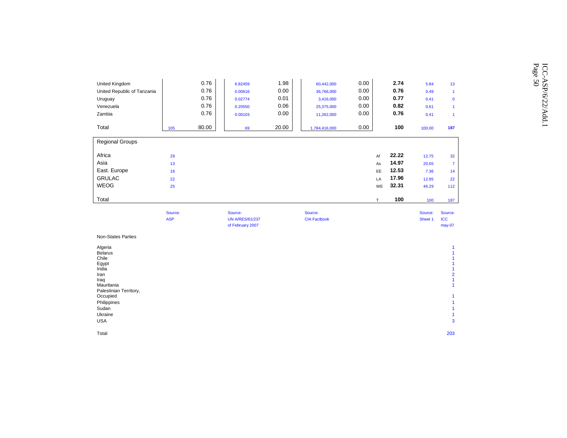|                             |         |       |         |       |               |      |       |         |                | Page |
|-----------------------------|---------|-------|---------|-------|---------------|------|-------|---------|----------------|------|
| United Kingdom              |         | 0.76  | 6.82459 | 1.98  | 60,442,000    | 0.00 | 2.74  | 5.84    | 13             |      |
| United Republic of Tanzania |         | 0.76  | 0.00616 | 0.00  | 36,766,000    | 0.00 | 0.76  | 0.49    |                |      |
| Uruguay                     |         | 0.76  | 0.02774 | 0.01  | 3,416,000     | 0.00 | 0.77  | 0.41    | $\mathbf{0}$   |      |
| Venezuela                   |         | 0.76  | 0.20550 | 0.06  | 25,375,000    | 0.00 | 0.82  | 0.61    |                |      |
| Zambia                      |         | 0.76  | 0.00103 | 0.00  | 11,262,000    | 0.00 | 0.76  | 0.41    |                |      |
| Total                       | 105     | 80.00 | 69      | 20.00 | 1,784,416,000 | 0.00 | 100   | 100.00  | 187            |      |
| <b>Regional Groups</b>      |         |       |         |       |               |      |       |         |                |      |
| Africa                      | 29      |       |         |       |               | Af   | 22.22 | 12.75   | 32             |      |
| Asia                        | 13      |       |         |       |               | As   | 14.97 | 20.65   | $\overline{7}$ |      |
| East. Europe                | 16      |       |         |       |               | EE   | 12.53 | 7.36    | 14             |      |
| <b>GRULAC</b>               | 22      |       |         |       |               | LA   | 17.96 | 12.95   | 22             |      |
| WEOG                        | 25      |       |         |       |               | WE   | 32.31 | 46.29   | 112            |      |
| Total                       |         |       |         |       |               |      | 100   | 100     | 187            |      |
|                             | Source: |       | Source: |       | Source:       |      |       | Source: | Source:        |      |

|                        | Source:<br><b>ASP</b> | Source:                | Source:             | Source:<br>Source:    |  |
|------------------------|-----------------------|------------------------|---------------------|-----------------------|--|
|                        |                       | <b>UN A/RES/61/237</b> | <b>CIA Factbook</b> | Sheet 1<br><b>ICC</b> |  |
|                        |                       | of February 2007       |                     | may-07                |  |
| Non-States Parties     |                       |                        |                     |                       |  |
| Algeria                |                       |                        |                     |                       |  |
| <b>Belarus</b>         |                       |                        |                     |                       |  |
| Chile                  |                       |                        |                     |                       |  |
| Egypt                  |                       |                        |                     |                       |  |
| India                  |                       |                        |                     |                       |  |
| Iran                   |                       |                        |                     | $\overline{2}$        |  |
| Iraq                   |                       |                        |                     |                       |  |
| Mauritania             |                       |                        |                     |                       |  |
| Palestinian Territory, |                       |                        |                     |                       |  |
| Occupied               |                       |                        |                     |                       |  |
| Philippines            |                       |                        |                     |                       |  |
| Sudan                  |                       |                        |                     |                       |  |

Total 203

Ukraine and the contract of the contract of the contract of the contract of the contract of the contract of the contract of the contract of the contract of the contract of the contract of the contract of the contract of th

USA 3

 $\overline{1}$ 

 $\overline{\mathbf{3}}$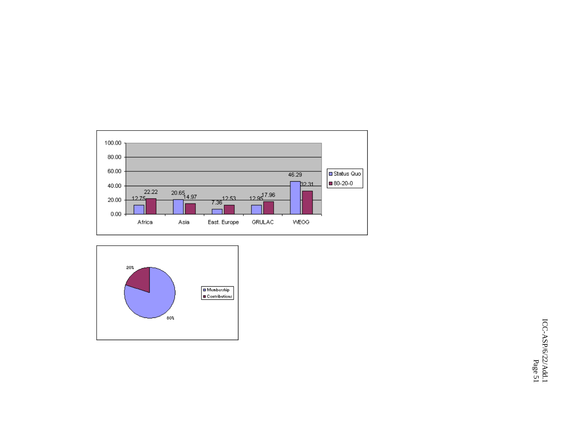

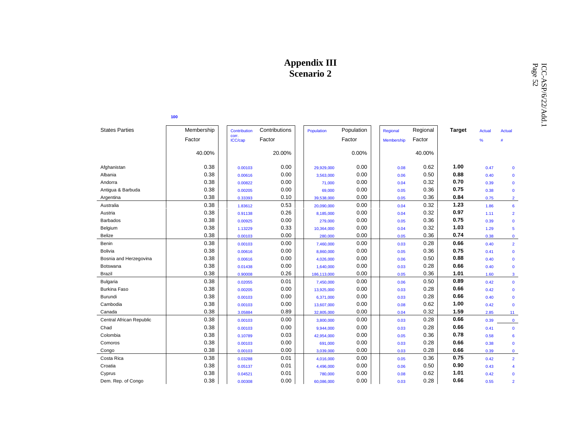|                          |            |                     |               | дррения пі<br><b>Scenario 2</b> |            |            |          |               |               |                | Page 52<br>ICC-ASP/6/22/Add.1 |
|--------------------------|------------|---------------------|---------------|---------------------------------|------------|------------|----------|---------------|---------------|----------------|-------------------------------|
|                          | 100        |                     |               |                                 |            |            |          |               |               |                |                               |
| <b>States Parties</b>    | Membership | <b>Contribution</b> | Contributions | Population                      | Population | Regional   | Regional | <b>Target</b> | <b>Actual</b> | <b>Actual</b>  |                               |
|                          | Factor     | corr.<br>ICC/cap    | Factor        |                                 | Factor     | Membership | Factor   |               | %             | #              |                               |
|                          | 40.00%     |                     | 20.00%        |                                 | 0.00%      |            | 40.00%   |               |               |                |                               |
| Afghanistan              | 0.38       | 0.00103             | 0.00          | 29,929,000                      | 0.00       | 0.08       | 0.62     | 1.00          | 0.47          | $\mathbf 0$    |                               |
| Albania                  | 0.38       | 0.00616             | 0.00          | 3,563,000                       | 0.00       | 0.06       | 0.50     | 0.88          | 0.40          | $\mathbf 0$    |                               |
| Andorra                  | 0.38       | 0.00822             | 0.00          | 71,000                          | 0.00       | 0.04       | 0.32     | 0.70          | 0.39          | $\mathbf 0$    |                               |
| Antigua & Barbuda        | 0.38       | 0.00205             | 0.00          | 69,000                          | 0.00       | 0.05       | 0.36     | 0.75          | 0.38          | $\mathbf 0$    |                               |
| Argentina                | 0.38       | 0.33393             | 0.10          | 39,538,000                      | 0.00       | 0.05       | 0.36     | 0.84          | 0.75          | $\overline{2}$ |                               |
| Australia                | 0.38       | 1.83612             | 0.53          | 20,090,000                      | 0.00       | 0.04       | 0.32     | 1.23          | 1.86          | $6\phantom{a}$ |                               |
| Austria                  | 0.38       | 0.91138             | 0.26          | 8,185,000                       | 0.00       | 0.04       | 0.32     | 0.97          | 1.11          | $\overline{2}$ |                               |
| Barbados                 | 0.38       | 0.00925             | 0.00          | 279,000                         | 0.00       | 0.05       | 0.36     | 0.75          | 0.39          | $\mathbf 0$    |                               |
| Belgium                  | 0.38       | 1.13229             | 0.33          | 10,364,000                      | 0.00       | 0.04       | 0.32     | 1.03          | 1.29          | $\overline{5}$ |                               |
| Belize                   | 0.38       | 0.00103             | 0.00          | 280,000                         | 0.00       | 0.05       | 0.36     | 0.74          | 0.38          | $\mathbf 0$    |                               |
| Benin                    | 0.38       | 0.00103             | 0.00          | 7,460,000                       | 0.00       | 0.03       | 0.28     | 0.66          | 0.40          | $\overline{2}$ |                               |
| <b>Bolivia</b>           | 0.38       | 0.00616             | 0.00          | 8,860,000                       | 0.00       | 0.05       | 0.36     | 0.75          | 0.41          | $\mathbf 0$    |                               |
| Bosnia and Herzegovina   | 0.38       | 0.00616             | 0.00          | 4,026,000                       | 0.00       | 0.06       | 0.50     | 0.88          | 0.40          | $\mathbf 0$    |                               |
| Botswana                 | 0.38       | 0.01438             | 0.00          | 1,640,000                       | 0.00       | 0.03       | 0.28     | 0.66          | 0.40          | $\mathbf 0$    |                               |
| Brazil                   | 0.38       | 0.90008             | 0.26          | 186,113,000                     | 0.00       | 0.05       | 0.36     | 1.01          | 1.60          | $\mathbf{3}$   |                               |
| <b>Bulgaria</b>          | 0.38       | 0.02055             | 0.01          | 7,450,000                       | 0.00       | 0.06       | 0.50     | 0.89          | 0.42          | $\mathbf 0$    |                               |
| <b>Burkina Faso</b>      | 0.38       | 0.00205             | 0.00          | 13,925,000                      | 0.00       | 0.03       | 0.28     | 0.66          | 0.42          | $\mathbf 0$    |                               |
| Burundi                  | 0.38       | 0.00103             | 0.00          | 6,371,000                       | 0.00       | 0.03       | 0.28     | 0.66          | 0.40          | $\mathbf 0$    |                               |
| Cambodia                 | 0.38       | 0.00103             | 0.00          | 13,607,000                      | 0.00       | 0.08       | 0.62     | 1.00          | 0.42          | $\mathbf 0$    |                               |
| Canada                   | 0.38       | 3.05884             | 0.89          | 32,805,000                      | 0.00       | 0.04       | 0.32     | 1.59          | 2.85          | 11             |                               |
| Central African Republic | 0.38       | 0.00103             | 0.00          | 3,800,000                       | 0.00       | 0.03       | 0.28     | 0.66          | 0.39          | $\mathbf{0}$   |                               |
| Chad                     | 0.38       | 0.00103             | 0.00          | 9,944,000                       | 0.00       | 0.03       | 0.28     | 0.66          | 0.41          | $\mathbf 0$    |                               |
| Colombia                 | 0.38       | 0.10789             | 0.03          | 42,954,000                      | 0.00       | 0.05       | 0.36     | 0.78          | 0.58          | 6              |                               |
| Comoros                  | 0.38       | 0.00103             | 0.00          | 691,000                         | 0.00       | 0.03       | 0.28     | 0.66          | 0.38          | $\mathbf 0$    |                               |
| Congo                    | 0.38       | 0.00103             | 0.00          | 3,039,000                       | 0.00       | 0.03       | 0.28     | 0.66          | 0.39          | $\mathbf 0$    |                               |
| Costa Rica               | 0.38       | 0.03288             | 0.01          | 4,016,000                       | 0.00       | 0.05       | 0.36     | 0.75          | 0.42          | $\overline{2}$ |                               |
| Croatia                  | 0.38       | 0.05137             | 0.01          | 4,496,000                       | 0.00       | 0.06       | 0.50     | 0.90          | 0.43          | $\overline{4}$ |                               |
| Cyprus                   | 0.38       | 0.04521             | 0.01          | 780,000                         | 0.00       | 0.08       | 0.62     | 1.01          | 0.42          | $\Omega$       |                               |
| Dem. Rep. of Congo       | 0.38       | 0.00308             | 0.00          | 60,086,000                      | 0.00       | 0.03       | 0.28     | 0.66          | 0.55          | $\overline{2}$ |                               |
|                          |            |                     |               |                                 |            |            |          |               |               |                |                               |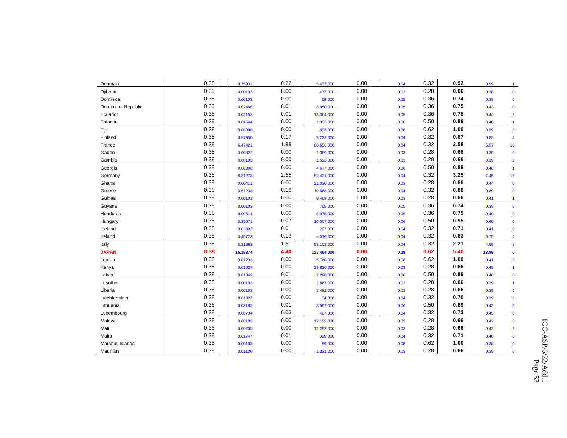| Denmark            | 0.38 | 0.75931  | 0.22 | 5,432,000   | 0.00 | 0.04 | 0.32 | 0.92 | 0.99  | 1              |
|--------------------|------|----------|------|-------------|------|------|------|------|-------|----------------|
| Djibouti           | 0.38 | 0.00103  | 0.00 | 477,000     | 0.00 | 0.03 | 0.28 | 0.66 | 0.38  | $\mathbf{0}$   |
| Dominica           | 0.38 | 0.00103  | 0.00 | 69,000      | 0.00 | 0.05 | 0.36 | 0.74 | 0.38  | $\mathbf{0}$   |
| Dominican Republic | 0.38 | 0.02466  | 0.01 | 8,950,000   | 0.00 | 0.05 | 0.36 | 0.75 | 0.43  | $\mathbf 0$    |
| Ecuador            | 0.38 | 0.02158  | 0.01 | 13,364,000  | 0.00 | 0.05 | 0.36 | 0.75 | 0.44  | $\overline{2}$ |
| Estonia            | 0.38 | 0.01644  | 0.00 | 1,333,000   | 0.00 | 0.06 | 0.50 | 0.89 | 0.40  | $\overline{1}$ |
| Fiji               | 0.38 | 0.00308  | 0.00 | 893,000     | 0.00 | 0.08 | 0.62 | 1.00 | 0.39  | $\mathbf 0$    |
| Finland            | 0.38 | 0.57950  | 0.17 | 5,223,000   | 0.00 | 0.04 | 0.32 | 0.87 | 0.85  | 4              |
| France             | 0.38 | 6.47421  | 1.88 | 60,656,000  | 0.00 | 0.04 | 0.32 | 2.58 | 5.57  | 16             |
| Gabon              | 0.38 | 0.00822  | 0.00 | 1,389,000   | 0.00 | 0.03 | 0.28 | 0.66 | 0.39  | $\mathbf 0$    |
| Gambia             | 0.38 | 0.00103  | 0.00 | 1,593,000   | 0.00 | 0.03 | 0.28 | 0.66 | 0.39  | $\overline{2}$ |
| Georgia            | 0.38 | 0.00308  | 0.00 | 4,677,000   | 0.00 | 0.06 | 0.50 | 0.88 | 0.40  | $\overline{1}$ |
| Germany            | 0.38 | 8.81278  | 2.55 | 82,431,000  | 0.00 | 0.04 | 0.32 | 3.25 | 7.45  | 17             |
| Ghana              | 0.38 | 0.00411  | 0.00 | 21,030,000  | 0.00 | 0.03 | 0.28 | 0.66 | 0.44  | $\mathbf 0$    |
| Greece             | 0.38 | 0.61238  | 0.18 | 10,668,000  | 0.00 | 0.04 | 0.32 | 0.88 | 0.89  | $\mathbf 0$    |
| Guinea             | 0.38 | 0.00103  | 0.00 | 9,468,000   | 0.00 | 0.03 | 0.28 | 0.66 | 0.41  | $\mathbf{1}$   |
| Guyana             | 0.38 | 0.00103  | 0.00 | 765,000     | 0.00 | 0.05 | 0.36 | 0.74 | 0.38  | $\mathbf{0}$   |
| Honduras           | 0.38 | 0.00514  | 0.00 | 6,975,000   | 0.00 | 0.05 | 0.36 | 0.75 | 0.40  | $\mathbf{0}$   |
| Hungary            | 0.38 | 0.25071  | 0.07 | 10,007,000  | 0.00 | 0.06 | 0.50 | 0.95 | 0.60  | $\mathbf 0$    |
| Iceland            | 0.38 | 0.03802  | 0.01 | 297,000     | 0.00 | 0.04 | 0.32 | 0.71 | 0.41  | $\mathbf{0}$   |
| Ireland            | 0.38 | 0.45723  | 0.13 | 4,016,000   | 0.00 | 0.04 | 0.32 | 0.83 | 0.75  | 4              |
| Italy              | 0.38 | 5.21862  | 1.51 | 58,103,000  | 0.00 | 0.04 | 0.32 | 2.21 | 4.59  | 8              |
| <b>JAPAN</b>       | 0.38 | 15.18374 | 4.40 | 127,464,000 | 0.00 | 0.08 | 0.62 | 5.40 | 13.99 | $\mathbf 0$    |
| Jordan             | 0.38 | 0.01233  | 0.00 | 5,760,000   | 0.00 | 0.08 | 0.62 | 1.00 | 0.41  | 3              |
| Kenya              | 0.38 | 0.01027  | 0.00 | 33,830,000  | 0.00 | 0.03 | 0.28 | 0.66 | 0.48  | $\mathbf{1}$   |
| Latvia             | 0.38 | 0.01849  | 0.01 | 2,290,000   | 0.00 | 0.06 | 0.50 | 0.89 | 0.40  | $\mathbf 0$    |
| Lesotho            | 0.38 | 0.00103  | 0.00 | 1,867,000   | 0.00 | 0.03 | 0.28 | 0.66 | 0.39  | $\mathbf{1}$   |
| Liberia            | 0.38 | 0.00103  | 0.00 | 3,482,000   | 0.00 | 0.03 | 0.28 | 0.66 | 0.39  | $\mathbf 0$    |
| Liechtenstein      | 0.38 | 0.01027  | 0.00 | 34,000      | 0.00 | 0.04 | 0.32 | 0.70 | 0.39  | $\mathbf 0$    |
| Lithuania          | 0.38 | 0.03185  | 0.01 | 3,597,000   | 0.00 | 0.06 | 0.50 | 0.89 | 0.42  | $\mathbf 0$    |
| Luxembourg         | 0.38 | 0.08734  | 0.03 | 467,000     | 0.00 | 0.04 | 0.32 | 0.73 | 0.45  | $\bf{0}$       |
| Malawi             | 0.38 | 0.00103  | 0.00 | 12,159,000  | 0.00 | 0.03 | 0.28 | 0.66 | 0.42  | $\mathbf 0$    |
| Mali               | 0.38 | 0.00205  | 0.00 | 12,292,000  | 0.00 | 0.03 | 0.28 | 0.66 | 0.42  | $\overline{2}$ |
| Malta              | 0.38 | 0.01747  | 0.01 | 399,000     | 0.00 | 0.04 | 0.32 | 0.71 | 0.40  | $\mathbf 0$    |
| Marshall Islands   | 0.38 | 0.00103  | 0.00 | 59,000      | 0.00 | 0.08 | 0.62 | 1.00 | 0.38  | $\mathbf 0$    |
| <b>Mauritius</b>   | 0.38 | 0.01130  | 0.00 | 1,231,000   | 0.00 | 0.03 | 0.28 | 0.66 | 0.39  | $\mathbf{0}$   |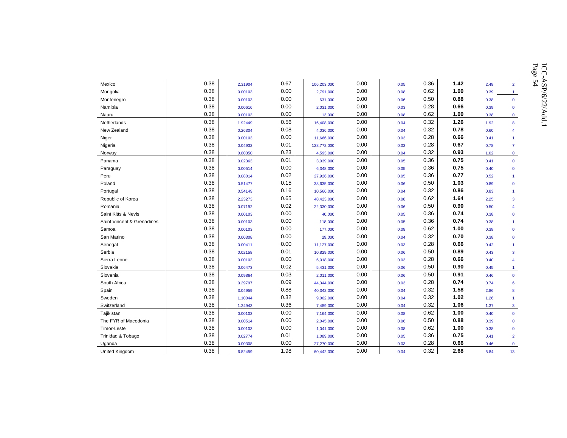Mexico 0.38 0.00103 0.06 0.07 0.00 0.06 0.36 1.42 2.48 2<br>Montenegro 0.38 0.00103 0.00 2.791,000 0.00 0.66 0.56 1.00 0.39 1<br>Mamibia<br>Namibia 0.38 0.00103 0.00 631,000 0.00 0.06 0.56 1.00 0.39 1<br>Namibia 0.38 0.00103 0.00 0.00 Niger 0.38 0.00103 0.00 11,666,000 0.00 0.03 0.28 **0.66** 0.41 1 Nigeria 0.38 0.04932 0.01 128,772,000 0.00 0.03 0.28 **0.67** 0.78 7 Norway 0.38 0.80350 0.23 4,593,000 0.00 0.04 0.32 **0.93** 1.02 0 Panama 0.38 0.02363 0.01 3,039,000 0.00 0.05 0.36 **0.75** 0.41 0 Paraguay 0.38 | | <sub>0.00514</sub> 0.00 | | <sub>6,348,000</sub> 0.00 | | <sub>0.05</sub> 0.36 | **0.75** <sub>0.40</sub> <sub>0</sub> Peru 0.38 0.08014 0.02 27,926,000 0.00 0.05 0.36 **0.77** 0.52 1 Poland 0.38 0.51477 0.15 38,635,000 0.00 0.06 0.50 **1.03** 0.89 0 Portugal 0.38 0.54149 0.16 10,566,000 0.00 0.04 0.32 **0.86** 0.83 1 Republic of Korea 0.38 2.23273 0.65 48,423,000 0.00 0.08 0.62 **1.64** 2.25 3 Romania 0.38 0.07192 0.02 22,330,000 0.00 0.06 0.50 **0.90** 0.50 4 Saint Kitts & Nevis 0.38 0.00103 0.00 40,000 0.00 0.05 0.36 **0.74** 0.38 0 Saint Vincent & Grenadines | 0.38 0.00103 0.00 | 118,000 0.00 | 0.05 0.36 **0.74** 0.38 1 Samoa 0.38 0.00103 0.00 177,000 0.00 0.08 0.62 **1.00** 0.38 0 San Marino 0.38 0.00308 0.00 29,000 0.00 0.04 0.32 **0.70** 0.38 0 Senegal 0.38 0.00411 0.00 11,127,000 0.00 0.03 0.28 **0.66** 0.42 1 Serbia 0.38 0.02158 0.01 10,829,000 0.00 0.06 0.50 **0.89** 0.43 3 Sierra Leone 0.38 0.00103 0.00 6,018,000 0.00 0.03 0.28 **0.66** 0.40 4 Slovakia 0.38 0.06473 0.02 5,431,000 0.00 0.06 0.50 **0.90** 0.45 1 Slovenia 0.38 0.09864 0.03 2,011,000 0.00 0.06 0.50 **0.91** 0.46 0 South Africa 0.38 0.29797 0.09 44,344,000 0.00 0.03 0.28 **0.74** 0.74 6 Spain 0.38 3.04959 0.88 40,342,000 0.00 0.04 0.32 **1.58** 2.86 8 Sweden 0.38 1.10044 0.32 9,002,000 0.00 0.04 0.32 **1.02** 1.26 1 Switzerland 0.38 1.24943 0.36 7,489,000 0.00 0.04 0.32 **1.06** 1.37 3 Tajikistan 0.38 0.00103 0.00 7,164,000 0.00 0.08 0.62 **1.00** 0.40 0 The FYR of Macedonia 0.38 0.00514 0.00 2,045,000 0.00 0.06 0.50 **0.88** 0.39 0 Timor-Leste 0.38 0.00103 0.00 1,041,000 0.00 0.08 0.62 **1.00** 0.38 0 Trinidad & Tobago 0.38 0.02774 0.01 1,089,000 0.00 0.05 0.36 **0.75** 0.41 2 Uganda 0.38 0.00308 0.00 27,270,000 0.00 0.03 0.28 **0.66** 0.46 0 United Kingdom 0.38 6.82459 1.98 60,442,000 0.00 0.04 0.32 **2.68** 5.84 13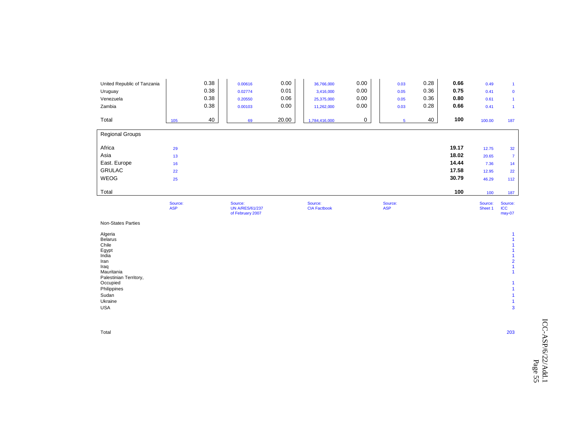| United Republic of Tanzania<br>Uruguay<br>Venezuela<br>Zambia |     | 0.38<br>0.38<br>0.38<br>0.38 | 0.00616<br>0.02774<br>0.20550<br>0.00103 | 0.00<br>0.01<br>0.06<br>0.00 | 36,766,000<br>3,416,000<br>25,375,000<br>11,262,000 | 0.00<br>0.00<br>0.00<br>0.00 | 0.03<br>0.05<br>0.05<br>0.03 | 0.28<br>0.36<br>0.36<br>0.28 | 0.66<br>0.75<br>0.80<br>0.66 | 0.49<br>0.41<br>0.61<br>0.41 | $\mathbf 0$    |
|---------------------------------------------------------------|-----|------------------------------|------------------------------------------|------------------------------|-----------------------------------------------------|------------------------------|------------------------------|------------------------------|------------------------------|------------------------------|----------------|
| Total                                                         | 105 | 40                           | 69                                       | 20.00                        | 1,784,416,000                                       | 0                            | 5                            | 40                           | 100                          | 100.00                       | 187            |
| <b>Regional Groups</b>                                        |     |                              |                                          |                              |                                                     |                              |                              |                              |                              |                              |                |
| Africa                                                        | 29  |                              |                                          |                              |                                                     |                              |                              |                              | 19.17                        | 12.75                        | 32             |
| Asia                                                          | 13  |                              |                                          |                              |                                                     |                              |                              |                              | 18.02                        | 20.65                        | $\overline{7}$ |
| East. Europe                                                  | 16  |                              |                                          |                              |                                                     |                              |                              |                              | 14.44                        | 7.36                         | 14             |
| <b>GRULAC</b>                                                 | 22  |                              |                                          |                              |                                                     |                              |                              |                              | 17.58                        | 12.95                        | 22             |
| <b>WEOG</b>                                                   | 25  |                              |                                          |                              |                                                     |                              |                              |                              | 30.79                        | 46.29                        | 112            |
| Total                                                         |     |                              |                                          |                              |                                                     |                              |                              |                              | 100                          | 100                          | 187            |

|                                                                                                                                                             | Source:<br><b>ASP</b> | Source:<br><b>UN A/RES/61/237</b><br>of February 2007 | Source:<br><b>CIA Factbook</b> | Source:<br><b>ASP</b> | Source:<br>Sheet 1 | Source:<br><b>ICC</b><br>may-07 |
|-------------------------------------------------------------------------------------------------------------------------------------------------------------|-----------------------|-------------------------------------------------------|--------------------------------|-----------------------|--------------------|---------------------------------|
| <b>Non-States Parties</b>                                                                                                                                   |                       |                                                       |                                |                       |                    |                                 |
| Algeria<br><b>Belarus</b><br>Chile<br>Egypt<br>India<br>Iran<br>Iraq<br>Mauritania<br>Palestinian Territory,<br>Occupied<br>Philippines<br>Sudan<br>Ukraine |                       |                                                       |                                |                       |                    | $\overline{2}$                  |
| <b>USA</b>                                                                                                                                                  |                       |                                                       |                                |                       |                    | $\mathbf{3}$                    |

Total 203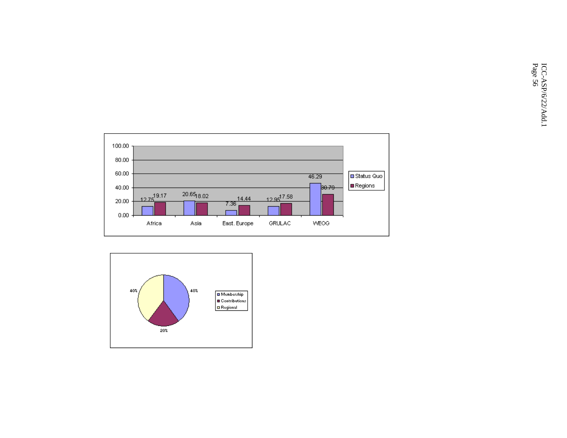

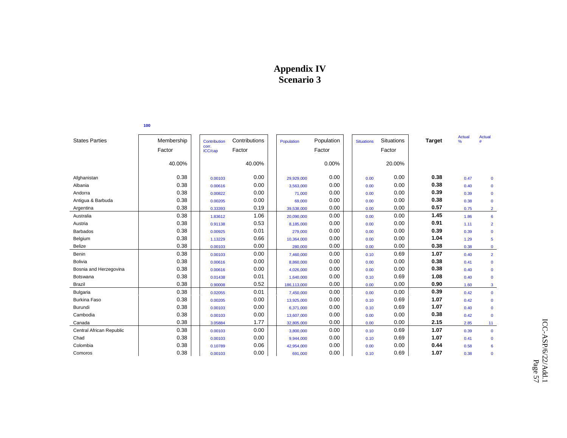# **Appendix IV Scenario 3**

|                          | 100        |                       |               |             |            |                   |                   |               |             |                |
|--------------------------|------------|-----------------------|---------------|-------------|------------|-------------------|-------------------|---------------|-------------|----------------|
| <b>States Parties</b>    | Membership | Contribution<br>corr. | Contributions | Population  | Population | <b>Situations</b> | <b>Situations</b> | <b>Target</b> | Actual<br>% | Actual         |
|                          | Factor     | ICC/cap               | Factor        |             | Factor     |                   | Factor            |               |             |                |
|                          | 40.00%     |                       | 40.00%        |             | 0.00%      |                   | 20.00%            |               |             |                |
| Afghanistan              | 0.38       | 0.00103               | 0.00          | 29,929,000  | 0.00       | 0.00              | 0.00              | 0.38          | 0.47        | $\mathbf 0$    |
| Albania                  | 0.38       | 0.00616               | 0.00          | 3.563.000   | 0.00       | 0.00              | 0.00              | 0.38          | 0.40        | $\mathbf 0$    |
| Andorra                  | 0.38       | 0.00822               | 0.00          | 71,000      | 0.00       | 0.00              | 0.00              | 0.39          | 0.39        | $\mathbf 0$    |
| Antigua & Barbuda        | 0.38       | 0.00205               | 0.00          | 69,000      | 0.00       | 0.00              | 0.00              | 0.38          | 0.38        | $\mathbf 0$    |
| Argentina                | 0.38       | 0.33393               | 0.19          | 39,538,000  | 0.00       | 0.00              | 0.00              | 0.57          | 0.75        | $\overline{2}$ |
| Australia                | 0.38       | 1.83612               | 1.06          | 20,090,000  | 0.00       | 0.00              | 0.00              | 1.45          | 1.86        | 6              |
| Austria                  | 0.38       | 0.91138               | 0.53          | 8,185,000   | 0.00       | 0.00              | 0.00              | 0.91          | 1.11        | $\overline{2}$ |
| <b>Barbados</b>          | 0.38       | 0.00925               | 0.01          | 279,000     | 0.00       | 0.00              | 0.00              | 0.39          | 0.39        | $\mathbf 0$    |
| Belgium                  | 0.38       | 1.13229               | 0.66          | 10,364,000  | 0.00       | 0.00              | 0.00              | 1.04          | 1.29        | 5              |
| <b>Belize</b>            | 0.38       | 0.00103               | 0.00          | 280,000     | 0.00       | 0.00              | 0.00              | 0.38          | 0.38        | $\mathbf 0$    |
| Benin                    | 0.38       | 0.00103               | 0.00          | 7,460,000   | 0.00       | 0.10              | 0.69              | 1.07          | 0.40        | $\overline{2}$ |
| <b>Bolivia</b>           | 0.38       | 0.00616               | 0.00          | 8,860,000   | 0.00       | 0.00              | 0.00              | 0.38          | 0.41        | $\mathbf 0$    |
| Bosnia and Herzegovina   | 0.38       | 0.00616               | 0.00          | 4.026.000   | 0.00       | 0.00              | 0.00              | 0.38          | 0.40        | $\mathbf 0$    |
| Botswana                 | 0.38       | 0.01438               | 0.01          | 1,640,000   | 0.00       | 0.10              | 0.69              | 1.08          | 0.40        | $\mathbf 0$    |
| <b>Brazil</b>            | 0.38       | 0.90008               | 0.52          | 186,113,000 | 0.00       | 0.00              | 0.00              | 0.90          | 1.60        | $\mathbf{3}$   |
| Bulgaria                 | 0.38       | 0.02055               | 0.01          | 7,450,000   | 0.00       | 0.00              | 0.00              | 0.39          | 0.42        | $\mathbf 0$    |
| <b>Burkina Faso</b>      | 0.38       | 0.00205               | 0.00          | 13,925,000  | 0.00       | 0.10              | 0.69              | 1.07          | 0.42        | $\mathbf 0$    |
| Burundi                  | 0.38       | 0.00103               | 0.00          | 6,371,000   | 0.00       | 0.10              | 0.69              | 1.07          | 0.40        | $\mathbf 0$    |
| Cambodia                 | 0.38       | 0.00103               | 0.00          | 13,607,000  | 0.00       | 0.00              | 0.00              | 0.38          | 0.42        | $\mathbf 0$    |
| Canada                   | 0.38       | 3.05884               | 1.77          | 32,805,000  | 0.00       | 0.00              | 0.00              | 2.15          | 2.85        | 11             |
| Central African Republic | 0.38       | 0.00103               | 0.00          | 3,800,000   | 0.00       | 0.10              | 0.69              | 1.07          | 0.39        | $\mathbf 0$    |
| Chad                     | 0.38       | 0.00103               | 0.00          | 9,944,000   | 0.00       | 0.10              | 0.69              | 1.07          | 0.41        | $\mathbf{0}$   |
| Colombia                 | 0.38       | 0.10789               | 0.06          | 42,954,000  | 0.00       | 0.00              | 0.00              | 0.44          | 0.58        | 6              |
| Comoros                  | 0.38       | 0.00103               | 0.00          | 691,000     | 0.00       | 0.10              | 0.69              | 1.07          | 0.38        | $\mathbf 0$    |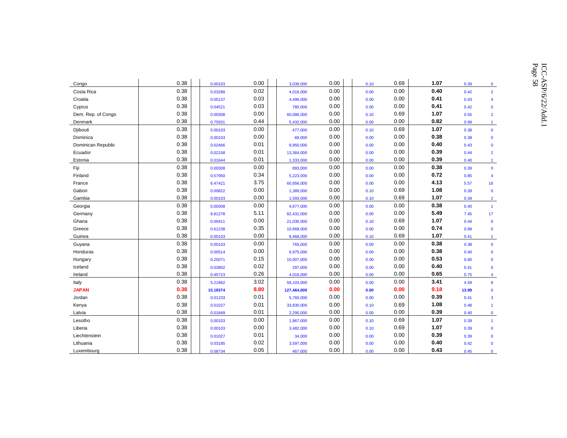| Congo              | 0.38 | 0.00103  | 0.00 | 3,039,000   | 0.00 | 0.10 | 0.69 | 1.07 | 0.39  | $\mathbf{0}$   |
|--------------------|------|----------|------|-------------|------|------|------|------|-------|----------------|
| Costa Rica         | 0.38 | 0.03288  | 0.02 | 4,016,000   | 0.00 | 0.00 | 0.00 | 0.40 | 0.42  | $\overline{2}$ |
| Croatia            | 0.38 | 0.05137  | 0.03 | 4,496,000   | 0.00 | 0.00 | 0.00 | 0.41 | 0.43  | $\overline{4}$ |
| Cyprus             | 0.38 | 0.04521  | 0.03 | 780,000     | 0.00 | 0.00 | 0.00 | 0.41 | 0.42  | $\mathbf 0$    |
| Dem. Rep. of Congo | 0.38 | 0.00308  | 0.00 | 60,086,000  | 0.00 | 0.10 | 0.69 | 1.07 | 0.55  | $\overline{2}$ |
| Denmark            | 0.38 | 0.75931  | 0.44 | 5,432,000   | 0.00 | 0.00 | 0.00 | 0.82 | 0.99  | $\mathbf{1}$   |
| Djibouti           | 0.38 | 0.00103  | 0.00 | 477,000     | 0.00 | 0.10 | 0.69 | 1.07 | 0.38  | $\mathbf 0$    |
| Dominica           | 0.38 | 0.00103  | 0.00 | 69,000      | 0.00 | 0.00 | 0.00 | 0.38 | 0.38  | $\mathbf 0$    |
| Dominican Republic | 0.38 | 0.02466  | 0.01 | 8,950,000   | 0.00 | 0.00 | 0.00 | 0.40 | 0.43  | $\mathbf 0$    |
| Ecuador            | 0.38 | 0.02158  | 0.01 | 13,364,000  | 0.00 | 0.00 | 0.00 | 0.39 | 0.44  | $\overline{2}$ |
| Estonia            | 0.38 | 0.01644  | 0.01 | 1,333,000   | 0.00 | 0.00 | 0.00 | 0.39 | 0.40  | $\mathbf{1}$   |
| Fiji               | 0.38 | 0.00308  | 0.00 | 893,000     | 0.00 | 0.00 | 0.00 | 0.38 | 0.39  | $\mathbf 0$    |
| Finland            | 0.38 | 0.57950  | 0.34 | 5,223,000   | 0.00 | 0.00 | 0.00 | 0.72 | 0.85  | 4              |
| France             | 0.38 | 6.47421  | 3.75 | 60,656,000  | 0.00 | 0.00 | 0.00 | 4.13 | 5.57  | 16             |
| Gabon              | 0.38 | 0.00822  | 0.00 | 1,389,000   | 0.00 | 0.10 | 0.69 | 1.08 | 0.39  | $\mathbf 0$    |
| Gambia             | 0.38 | 0.00103  | 0.00 | 1,593,000   | 0.00 | 0.10 | 0.69 | 1.07 | 0.39  | $\overline{2}$ |
| Georgia            | 0.38 | 0.00308  | 0.00 | 4,677,000   | 0.00 | 0.00 | 0.00 | 0.38 | 0.40  | $\mathbf{1}$   |
| Germany            | 0.38 | 8.81278  | 5.11 | 82,431,000  | 0.00 | 0.00 | 0.00 | 5.49 | 7.45  | 17             |
| Ghana              | 0.38 | 0.00411  | 0.00 | 21,030,000  | 0.00 | 0.10 | 0.69 | 1.07 | 0.44  | $\bf{0}$       |
| Greece             | 0.38 | 0.61238  | 0.35 | 10,668,000  | 0.00 | 0.00 | 0.00 | 0.74 | 0.89  | $\mathbf 0$    |
| Guinea             | 0.38 | 0.00103  | 0.00 | 9,468,000   | 0.00 | 0.10 | 0.69 | 1.07 | 0.41  | $\mathbf{1}$   |
| Guyana             | 0.38 | 0.00103  | 0.00 | 765,000     | 0.00 | 0.00 | 0.00 | 0.38 | 0.38  | $\mathbf 0$    |
| Honduras           | 0.38 | 0.00514  | 0.00 | 6,975,000   | 0.00 | 0.00 | 0.00 | 0.38 | 0.40  | $\mathbf 0$    |
| Hungary            | 0.38 | 0.25071  | 0.15 | 10,007,000  | 0.00 | 0.00 | 0.00 | 0.53 | 0.60  | $\mathbf 0$    |
| Iceland            | 0.38 | 0.03802  | 0.02 | 297,000     | 0.00 | 0.00 | 0.00 | 0.40 | 0.41  | $\mathbf 0$    |
| Ireland            | 0.38 | 0.45723  | 0.26 | 4,016,000   | 0.00 | 0.00 | 0.00 | 0.65 | 0.75  | $\overline{4}$ |
| Italy              | 0.38 | 5.21862  | 3.02 | 58,103,000  | 0.00 | 0.00 | 0.00 | 3.41 | 4.59  | 8              |
| <b>JAPAN</b>       | 0.38 | 15.18374 | 8.80 | 127,464,000 | 0.00 | 0.00 | 0.00 | 9.18 | 13.99 | $\mathbf 0$    |
| Jordan             | 0.38 | 0.01233  | 0.01 | 5,760,000   | 0.00 | 0.00 | 0.00 | 0.39 | 0.41  | 3              |
| Kenya              | 0.38 | 0.01027  | 0.01 | 33,830,000  | 0.00 | 0.10 | 0.69 | 1.08 | 0.48  | $\mathbf{1}$   |
| Latvia             | 0.38 | 0.01849  | 0.01 | 2,290,000   | 0.00 | 0.00 | 0.00 | 0.39 | 0.40  | $\mathbf 0$    |
| Lesotho            | 0.38 | 0.00103  | 0.00 | 1,867,000   | 0.00 | 0.10 | 0.69 | 1.07 | 0.39  | $\mathbf{1}$   |
| Liberia            | 0.38 | 0.00103  | 0.00 | 3,482,000   | 0.00 | 0.10 | 0.69 | 1.07 | 0.39  | $\mathbf 0$    |
| Liechtenstein      | 0.38 | 0.01027  | 0.01 | 34,000      | 0.00 | 0.00 | 0.00 | 0.39 | 0.39  | $\Omega$       |
| Lithuania          | 0.38 | 0.03185  | 0.02 | 3,597,000   | 0.00 | 0.00 | 0.00 | 0.40 | 0.42  | $\mathbf 0$    |
|                    |      |          |      |             |      |      |      |      |       |                |

Luxembourg 0.38 0.08734 0.05 467,000 0.00 0.00 0.00 **0.43** 0.45 0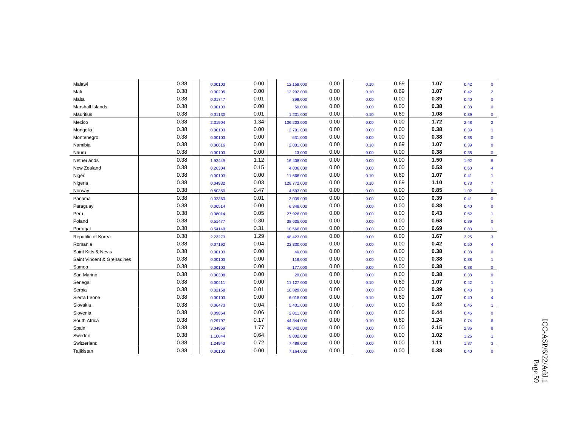| Malawi                     | 0.38 | 0.00103 | 0.00 | 12,159,000  | 0.00 | 0.10 | 0.69 | 1.07 | 0.42 | $\mathbf{0}$            |
|----------------------------|------|---------|------|-------------|------|------|------|------|------|-------------------------|
| Mali                       | 0.38 | 0.00205 | 0.00 | 12,292,000  | 0.00 | 0.10 | 0.69 | 1.07 | 0.42 | $\overline{2}$          |
| Malta                      | 0.38 | 0.01747 | 0.01 | 399,000     | 0.00 | 0.00 | 0.00 | 0.39 | 0.40 | $\mathbf 0$             |
| Marshall Islands           | 0.38 | 0.00103 | 0.00 | 59,000      | 0.00 | 0.00 | 0.00 | 0.38 | 0.38 | $\mathbf 0$             |
| Mauritius                  | 0.38 | 0.01130 | 0.01 | 1,231,000   | 0.00 | 0.10 | 0.69 | 1.08 | 0.39 | $\mathbf 0$             |
| Mexico                     | 0.38 | 2.31904 | 1.34 | 106,203,000 | 0.00 | 0.00 | 0.00 | 1.72 | 2.48 | $\overline{2}$          |
| Mongolia                   | 0.38 | 0.00103 | 0.00 | 2,791,000   | 0.00 | 0.00 | 0.00 | 0.38 | 0.39 | $\mathbf{1}$            |
| Montenegro                 | 0.38 | 0.00103 | 0.00 | 631,000     | 0.00 | 0.00 | 0.00 | 0.38 | 0.38 | $\mathbf 0$             |
| Namibia                    | 0.38 | 0.00616 | 0.00 | 2,031,000   | 0.00 | 0.10 | 0.69 | 1.07 | 0.39 | $\mathbf 0$             |
| Nauru                      | 0.38 | 0.00103 | 0.00 | 13,000      | 0.00 | 0.00 | 0.00 | 0.38 | 0.38 | $\mathbf 0$             |
| Netherlands                | 0.38 | 1.92449 | 1.12 | 16,408,000  | 0.00 | 0.00 | 0.00 | 1.50 | 1.92 | 8                       |
| New Zealand                | 0.38 | 0.26304 | 0.15 | 4,036,000   | 0.00 | 0.00 | 0.00 | 0.53 | 0.60 | 4                       |
| Niger                      | 0.38 | 0.00103 | 0.00 | 11,666,000  | 0.00 | 0.10 | 0.69 | 1.07 | 0.41 | $\mathbf{1}$            |
| Nigeria                    | 0.38 | 0.04932 | 0.03 | 128,772,000 | 0.00 | 0.10 | 0.69 | 1.10 | 0.78 | $\overline{7}$          |
| Norway                     | 0.38 | 0.80350 | 0.47 | 4,593,000   | 0.00 | 0.00 | 0.00 | 0.85 | 1.02 | $\mathbf 0$             |
| Panama                     | 0.38 | 0.02363 | 0.01 | 3,039,000   | 0.00 | 0.00 | 0.00 | 0.39 | 0.41 | $\mathbf 0$             |
| Paraguay                   | 0.38 | 0.00514 | 0.00 | 6,348,000   | 0.00 | 0.00 | 0.00 | 0.38 | 0.40 | $\mathbf 0$             |
| Peru                       | 0.38 | 0.08014 | 0.05 | 27,926,000  | 0.00 | 0.00 | 0.00 | 0.43 | 0.52 | $\mathbf{1}$            |
| Poland                     | 0.38 | 0.51477 | 0.30 | 38,635,000  | 0.00 | 0.00 | 0.00 | 0.68 | 0.89 | $\mathbf 0$             |
| Portugal                   | 0.38 | 0.54149 | 0.31 | 10,566,000  | 0.00 | 0.00 | 0.00 | 0.69 | 0.83 | $\mathbf{1}$            |
| Republic of Korea          | 0.38 | 2.23273 | 1.29 | 48,423,000  | 0.00 | 0.00 | 0.00 | 1.67 | 2.25 | $\mathbf{3}$            |
| Romania                    | 0.38 | 0.07192 | 0.04 | 22,330,000  | 0.00 | 0.00 | 0.00 | 0.42 | 0.50 | $\overline{\mathbf{4}}$ |
| Saint Kitts & Nevis        | 0.38 | 0.00103 | 0.00 | 40,000      | 0.00 | 0.00 | 0.00 | 0.38 | 0.38 | $\mathbf 0$             |
| Saint Vincent & Grenadines | 0.38 | 0.00103 | 0.00 | 118,000     | 0.00 | 0.00 | 0.00 | 0.38 | 0.38 | $\overline{1}$          |
| Samoa                      | 0.38 | 0.00103 | 0.00 | 177,000     | 0.00 | 0.00 | 0.00 | 0.38 | 0.38 | $\mathbf{0}$            |
| San Marino                 | 0.38 | 0.00308 | 0.00 | 29,000      | 0.00 | 0.00 | 0.00 | 0.38 | 0.38 | $\mathbf 0$             |
| Senegal                    | 0.38 | 0.00411 | 0.00 | 11,127,000  | 0.00 | 0.10 | 0.69 | 1.07 | 0.42 | $\mathbf{1}$            |
| Serbia                     | 0.38 | 0.02158 | 0.01 | 10,829,000  | 0.00 | 0.00 | 0.00 | 0.39 | 0.43 | $\overline{\mathbf{3}}$ |
| Sierra Leone               | 0.38 | 0.00103 | 0.00 | 6,018,000   | 0.00 | 0.10 | 0.69 | 1.07 | 0.40 | 4                       |
| Slovakia                   | 0.38 | 0.06473 | 0.04 | 5,431,000   | 0.00 | 0.00 | 0.00 | 0.42 | 0.45 | $\mathbf{1}$            |
| Slovenia                   | 0.38 | 0.09864 | 0.06 | 2,011,000   | 0.00 | 0.00 | 0.00 | 0.44 | 0.46 | $\mathbf{0}$            |
| South Africa               | 0.38 | 0.29797 | 0.17 | 44,344,000  | 0.00 | 0.10 | 0.69 | 1.24 | 0.74 | 6                       |
| Spain                      | 0.38 | 3.04959 | 1.77 | 40,342,000  | 0.00 | 0.00 | 0.00 | 2.15 | 2.86 | 8                       |
| Sweden                     | 0.38 | 1.10044 | 0.64 | 9,002,000   | 0.00 | 0.00 | 0.00 | 1.02 | 1.26 | $\overline{1}$          |
| Switzerland                | 0.38 | 1.24943 | 0.72 | 7,489,000   | 0.00 | 0.00 | 0.00 | 1.11 | 1.37 | 3                       |
| Tajikistan                 | 0.38 | 0.00103 | 0.00 | 7,164,000   | 0.00 | 0.00 | 0.00 | 0.38 | 0.40 | $\mathbf{0}$            |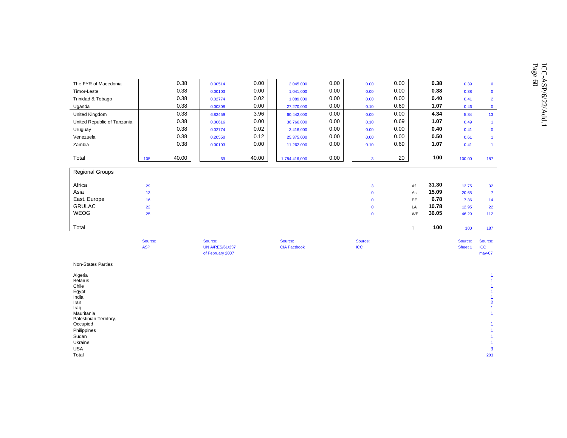|                             | Source:<br><b>ASP</b> |       | Source:<br><b>UN A/RES/61/237</b> |       | Source:<br><b>CIA Factbook</b> |      | Source:<br><b>ICC</b> |      |       | Source:<br>Sheet 1 | Source:<br>ICC. |
|-----------------------------|-----------------------|-------|-----------------------------------|-------|--------------------------------|------|-----------------------|------|-------|--------------------|-----------------|
| Total                       |                       |       |                                   |       |                                |      |                       | T.   | 100   | 100                | 187             |
| <b>WEOG</b>                 | 25                    |       |                                   |       |                                |      | $\mathbf{0}$          | WE   | 36.05 | 46.29              | 112             |
| <b>GRULAC</b>               | 22                    |       |                                   |       |                                |      | $\mathbf{0}$          | LA   | 10.78 | 12.95              | 22              |
| East. Europe                | 16                    |       |                                   |       |                                |      | $\Omega$              | EE   | 6.78  | 7.36               | 14              |
| Asia                        | 13                    |       |                                   |       |                                |      | $\mathbf{0}$          | As   | 15.09 | 20.65              | $\overline{7}$  |
| Africa                      | 29                    |       |                                   |       |                                |      | $\mathbf{3}$          | Af   | 31.30 | 12.75              | 32              |
| <b>Regional Groups</b>      |                       |       |                                   |       |                                |      |                       |      |       |                    |                 |
| Total                       | 105                   | 40.00 | 69                                | 40.00 | 1,784,416,000                  | 0.00 | $\overline{3}$        | 20   | 100   | 100.00             | 187             |
| Zambia                      |                       | 0.38  | 0.00103                           | 0.00  | 11,262,000                     | 0.00 | 0.10                  | 0.69 | 1.07  | 0.41               | $\overline{1}$  |
| Venezuela                   |                       | 0.38  | 0.20550                           | 0.12  | 25,375,000                     | 0.00 | 0.00                  | 0.00 | 0.50  | 0.61               | $\overline{1}$  |
| Uruguay                     |                       | 0.38  | 0.02774                           | 0.02  | 3,416,000                      | 0.00 | 0.00                  | 0.00 | 0.40  | 0.41               | $\mathbf 0$     |
| United Republic of Tanzania |                       | 0.38  | 0.00616                           | 0.00  | 36,766,000                     | 0.00 | 0.10                  | 0.69 | 1.07  | 0.49               | $\overline{1}$  |
| United Kingdom              |                       | 0.38  | 6.82459                           | 3.96  | 60,442,000                     | 0.00 | 0.00                  | 0.00 | 4.34  | 5.84               | 13              |
| Uganda                      |                       | 0.38  | 0.00308                           | 0.00  | 27,270,000                     | 0.00 | 0.10                  | 0.69 | 1.07  | 0.46               | $\mathbf{0}$    |
| Trinidad & Tobago           |                       | 0.38  | 0.02774                           | 0.02  | 1,089,000                      | 0.00 | 0.00                  | 0.00 | 0.40  | 0.41               | $\overline{2}$  |
| Timor-Leste                 |                       | 0.38  | 0.00103                           | 0.00  | 1,041,000                      | 0.00 | 0.00                  | 0.00 | 0.38  | 0.38               | $\mathbf 0$     |
| The FYR of Macedonia        |                       | 0.38  | 0.00514                           | 0.00  | 2,045,000                      | 0.00 | 0.00                  | 0.00 | 0.38  | 0.39               | $\mathbf 0$     |

| <b>UN A/RES/61/237</b> | <b>CIA Factbook</b> | <b>ICC</b> | Sheet 1 ICC |          |
|------------------------|---------------------|------------|-------------|----------|
| of February 2007       |                     |            |             | $may-07$ |

Non-States Parties

| Algeria                |     |
|------------------------|-----|
| <b>Belarus</b>         |     |
| Chile                  |     |
| Egypt<br>India         |     |
|                        |     |
| Iran                   | 2   |
| Iraq                   |     |
| Mauritania             |     |
| Palestinian Territory, |     |
| Occupied               |     |
| Philippines            |     |
| Sudan                  |     |
| Ukraine                |     |
| <b>USA</b>             | 3   |
| Total                  | 203 |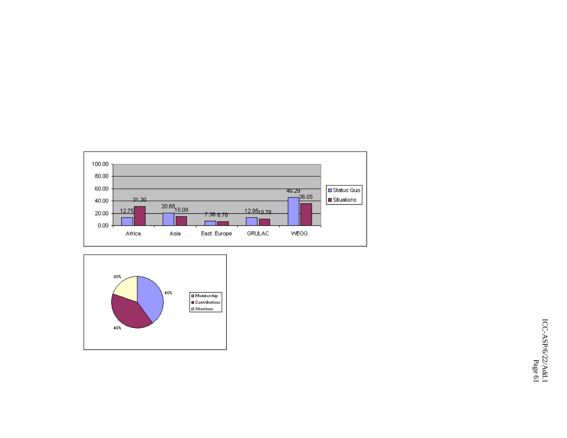

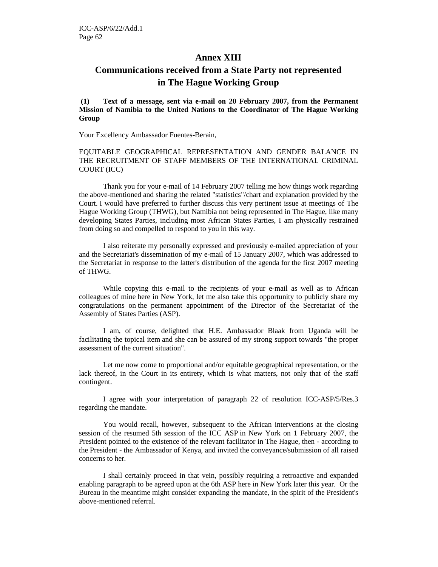## **Annex XIII**

# **Communications received from a State Party not represented in The Hague Working Group**

 **(1) Text of a message, sent via e-mail on 20 February 2007, from the Permanent Mission of Namibia to the United Nations to the Coordinator of The Hague Working Group** 

Your Excellency Ambassador Fuentes-Berain,

EQUITABLE GEOGRAPHICAL REPRESENTATION AND GENDER BALANCE IN THE RECRUITMENT OF STAFF MEMBERS OF THE INTERNATIONAL CRIMINAL COURT (ICC)

Thank you for your e-mail of 14 February 2007 telling me how things work regarding the above-mentioned and sharing the related "statistics"/chart and explanation provided by the Court. I would have preferred to further discuss this very pertinent issue at meetings of The Hague Working Group (THWG), but Namibia not being represented in The Hague, like many developing States Parties, including most African States Parties, I am physically restrained from doing so and compelled to respond to you in this way.

I also reiterate my personally expressed and previously e-mailed appreciation of your and the Secretariat's dissemination of my e-mail of 15 January 2007, which was addressed to the Secretariat in response to the latter's distribution of the agenda for the first 2007 meeting of THWG.

While copying this e-mail to the recipients of your e-mail as well as to African colleagues of mine here in New York, let me also take this opportunity to publicly share my congratulations on the permanent appointment of the Director of the Secretariat of the Assembly of States Parties (ASP).

I am, of course, delighted that H.E. Ambassador Blaak from Uganda will be facilitating the topical item and she can be assured of my strong support towards "the proper assessment of the current situation".

Let me now come to proportional and/or equitable geographical representation, or the lack thereof, in the Court in its entirety, which is what matters, not only that of the staff contingent.

I agree with your interpretation of paragraph 22 of resolution ICC-ASP/5/Res.3 regarding the mandate.

You would recall, however, subsequent to the African interventions at the closing session of the resumed 5th session of the ICC ASP in New York on 1 February 2007, the President pointed to the existence of the relevant facilitator in The Hague, then - according to the President - the Ambassador of Kenya, and invited the conveyance/submission of all raised concerns to her.

I shall certainly proceed in that vein, possibly requiring a retroactive and expanded enabling paragraph to be agreed upon at the 6th ASP here in New York later this year. Or the Bureau in the meantime might consider expanding the mandate, in the spirit of the President's above-mentioned referral.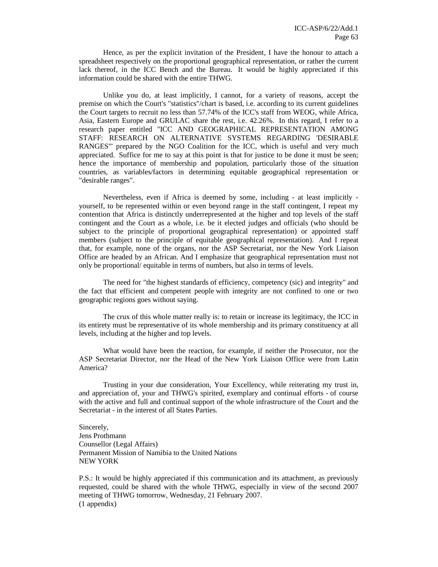Hence, as per the explicit invitation of the President, I have the honour to attach a spreadsheet respectively on the proportional geographical representation, or rather the current lack thereof, in the ICC Bench and the Bureau. It would be highly appreciated if this information could be shared with the entire THWG.

Unlike you do, at least implicitly, I cannot, for a variety of reasons, accept the premise on which the Court's "statistics"/chart is based, i.e. according to its current guidelines the Court targets to recruit no less than 57.74% of the ICC's staff from WEOG, while Africa, Asia, Eastern Europe and GRULAC share the rest, i.e. 42.26%. In this regard, I refer to a research paper entitled "ICC AND GEOGRAPHICAL REPRESENTATION AMONG STAFF: RESEARCH ON ALTERNATIVE SYSTEMS REGARDING 'DESIRABLE RANGES" prepared by the NGO Coalition for the ICC, which is useful and very much appreciated. Suffice for me to say at this point is that for justice to be done it must be seen; hence the importance of membership and population, particularly those of the situation countries, as variables/factors in determining equitable geographical representation or "desirable ranges".

Nevertheless, even if Africa is deemed by some, including - at least implicitly yourself, to be represented within or even beyond range in the staff contingent, I repeat my contention that Africa is distinctly underrepresented at the higher and top levels of the staff contingent and the Court as a whole, i.e. be it elected judges and officials (who should be subject to the principle of proportional geographical representation) or appointed staff members (subject to the principle of equitable geographical representation). And I repeat that, for example, none of the organs, nor the ASP Secretariat, nor the New York Liaison Office are headed by an African. And I emphasize that geographical representation must not only be proportional/ equitable in terms of numbers, but also in terms of levels.

The need for "the highest standards of efficiency, competency (sic) and integrity" and the fact that efficient and competent people with integrity are not confined to one or two geographic regions goes without saying.

The crux of this whole matter really is: to retain or increase its legitimacy, the ICC in its entirety must be representative of its whole membership and its primary constituency at all levels, including at the higher and top levels.

What would have been the reaction, for example, if neither the Prosecutor, nor the ASP Secretariat Director, nor the Head of the New York Liaison Office were from Latin America?

Trusting in your due consideration, Your Excellency, while reiterating my trust in, and appreciation of, your and THWG's spirited, exemplary and continual efforts - of course with the active and full and continual support of the whole infrastructure of the Court and the Secretariat - in the interest of all States Parties.

Sincerely, Jens Prothmann Counsellor (Legal Affairs) Permanent Mission of Namibia to the United Nations NEW YORK

P.S.: It would be highly appreciated if this communication and its attachment, as previously requested, could be shared with the whole THWG, especially in view of the second 2007 meeting of THWG tomorrow, Wednesday, 21 February 2007. (1 appendix)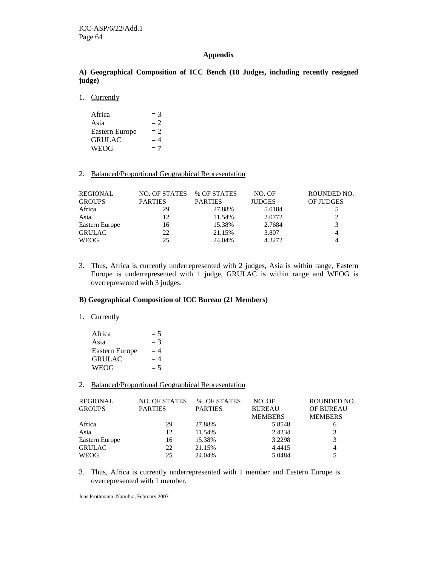#### **Appendix**

#### **A) Geographical Composition of ICC Bench (18 Judges, including recently resigned judge)**

1. Currently

| Africa         | $=$ 3 |
|----------------|-------|
| Asia           | $= 2$ |
| Eastern Europe | $= 2$ |
| <b>GRULAC</b>  | $=4$  |
| WEOG           | $=7$  |

#### 2. Balanced/Proportional Geographical Representation

| REGIONAL       | NO. OF STATES  | % OF STATES    | NO. OF        | ROUNDED NO. |
|----------------|----------------|----------------|---------------|-------------|
| <b>GROUPS</b>  | <b>PARTIES</b> | <b>PARTIES</b> | <b>JUDGES</b> | OF JUDGES   |
| Africa         | 29             | 27.88%         | 5.0184        |             |
| Asia           | 12             | 11.54%         | 2.0772        | 2           |
| Eastern Europe | 16             | 15.38%         | 2.7684        | 3           |
| <b>GRULAC</b>  | 22             | 21.15%         | 3.807         | 4           |
| <b>WEOG</b>    | 25             | 24.04%         | 4.3272        | 4           |

3. Thus, Africa is currently underrepresented with 2 judges, Asia is within range, Eastern Europe is underrepresented with 1 judge, GRULAC is within range and WEOG is overrepresented with 3 judges.

#### **B) Geographical Composition of ICC Bureau (21 Members)**

#### 1. Currently

| Africa         | $=5$  |
|----------------|-------|
| Asia           | $=$ 3 |
| Eastern Europe | $=4$  |
| <b>GRULAC</b>  | $=4$  |
| WEOG           | $= 5$ |

#### 2. Balanced/Proportional Geographical Representation

| <b>REGIONAL</b> | NO. OF STATES  | % OF STATES    | NO. OF         | ROUNDED NO.      |
|-----------------|----------------|----------------|----------------|------------------|
| <b>GROUPS</b>   | <b>PARTIES</b> | <b>PARTIES</b> | <b>BUREAU</b>  | <b>OF BUREAU</b> |
|                 |                |                | <b>MEMBERS</b> | <b>MEMBERS</b>   |
| Africa          | 29             | 27.88%         | 5.8548         | 6                |
| Asia            | 12             | 11.54%         | 2.4234         |                  |
| Eastern Europe  | 16             | 15.38%         | 3.2298         | 3                |
| <b>GRULAC</b>   | 22             | 21.15%         | 4.4415         | 4                |
| <b>WEOG</b>     | 25             | 24.04%         | 5.0484         |                  |

3. Thus, Africa is currently underrepresented with 1 member and Eastern Europe is overrepresented with 1 member.

Jens Prothmann, Namibia, February 2007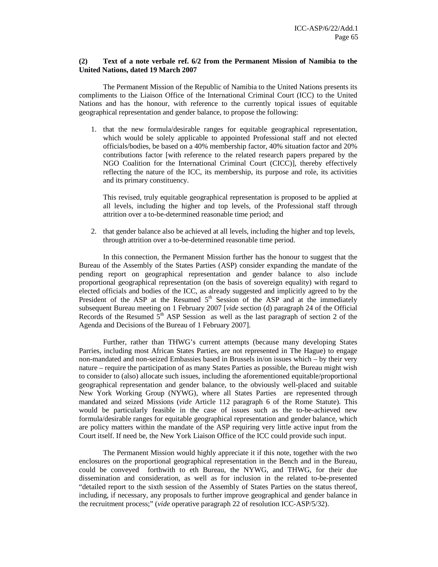#### **(2) Text of a note verbale ref. 6/2 from the Permanent Mission of Namibia to the United Nations, dated 19 March 2007**

 The Permanent Mission of the Republic of Namibia to the United Nations presents its compliments to the Liaison Office of the International Criminal Court (ICC) to the United Nations and has the honour, with reference to the currently topical issues of equitable geographical representation and gender balance, to propose the following:

1. that the new formula/desirable ranges for equitable geographical representation, which would be solely applicable to appointed Professional staff and not elected officials/bodies, be based on a 40% membership factor, 40% situation factor and 20% contributions factor [with reference to the related research papers prepared by the NGO Coalition for the International Criminal Court (CICC)], thereby effectively reflecting the nature of the ICC, its membership, its purpose and role, its activities and its primary constituency.

This revised, truly equitable geographical representation is proposed to be applied at all levels, including the higher and top levels, of the Professional staff through attrition over a to-be-determined reasonable time period; and

2. that gender balance also be achieved at all levels, including the higher and top levels, through attrition over a to-be-determined reasonable time period.

In this connection, the Permanent Mission further has the honour to suggest that the Bureau of the Assembly of the States Parties (ASP) consider expanding the mandate of the pending report on geographical representation and gender balance to also include proportional geographical representation (on the basis of sovereign equality) with regard to elected officials and bodies of the ICC, as already suggested and implicitly agreed to by the President of the ASP at the Resumed  $5<sup>th</sup>$  Session of the ASP and at the immediately subsequent Bureau meeting on 1 February 2007 [*vide* section (d) paragraph 24 of the Official Records of the Resumed  $5<sup>th</sup>$  ASP Session as well as the last paragraph of section 2 of the Agenda and Decisions of the Bureau of 1 February 2007].

Further, rather than THWG's current attempts (because many developing States Parries, including most African States Parties, are not represented in The Hague) to engage non-mandated and non-seized Embassies based in Brussels in/on issues which – by their very nature – require the participation of as many States Parties as possible, the Bureau might wish to consider to (also) allocate such issues, including the aforementioned equitable/proportional geographical representation and gender balance, to the obviously well-placed and suitable New York Working Group (NYWG), where all States Parties are represented through mandated and seized Missions (*vide* Article 112 paragraph 6 of the Rome Statute). This would be particularly feasible in the case of issues such as the to-be-achieved new formula/desirable ranges for equitable geographical representation and gender balance, which are policy matters within the mandate of the ASP requiring very little active input from the Court itself. If need be, the New York Liaison Office of the ICC could provide such input.

The Permanent Mission would highly appreciate it if this note, together with the two enclosures on the proportional geographical representation in the Bench and in the Bureau, could be conveyed forthwith to eth Bureau, the NYWG, and THWG, for their due dissemination and consideration, as well as for inclusion in the related to-be-presented "detailed report to the sixth session of the Assembly of States Parties on the status thereof, including, if necessary, any proposals to further improve geographical and gender balance in the recruitment process;" (*vide* operative paragraph 22 of resolution ICC-ASP/5/32).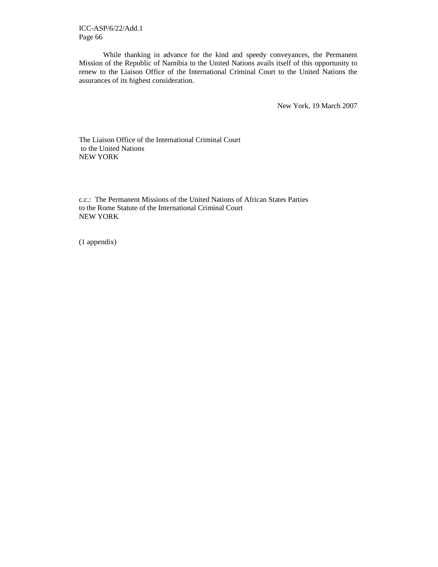ICC-ASP/6/22/Add.1 Page 66

While thanking in advance for the kind and speedy conveyances, the Permanent Mission of the Republic of Namibia to the United Nations avails itself of this opportunity to renew to the Liaison Office of the International Criminal Court to the United Nations the assurances of its highest consideration.

New York, 19 March 2007

The Liaison Office of the International Criminal Court to the United Nations NEW YORK

c.c.: The Permanent Missions of the United Nations of African States Parties to the Rome Statute of the International Criminal Court NEW YORK

(1 appendix)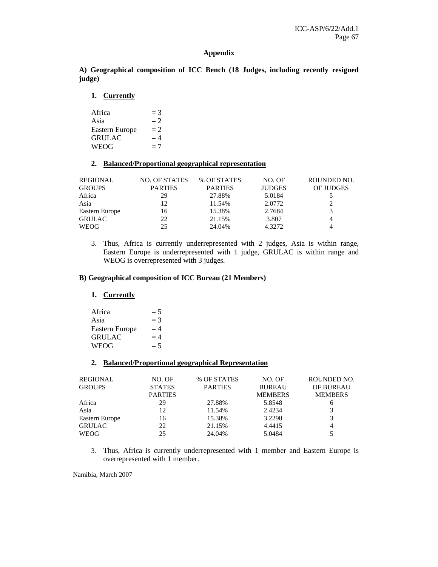#### **Appendix**

**A) Geographical composition of ICC Bench (18 Judges, including recently resigned judge)** 

**1. Currently**

| Africa         | $=$ 3 |
|----------------|-------|
| Asia           | $= 2$ |
| Eastern Europe | $= 2$ |
| <b>GRULAC</b>  | $=4$  |
| WEOG           | $=7$  |

#### **2. Balanced/Proportional geographical representation**

| REGIONAL       | <b>NO. OF STATES</b> | % OF STATES    | NO. OF        | ROUNDED NO. |
|----------------|----------------------|----------------|---------------|-------------|
| <b>GROUPS</b>  | <b>PARTIES</b>       | <b>PARTIES</b> | <b>JUDGES</b> | OF JUDGES   |
| Africa         | 29                   | 27.88%         | 5.0184        |             |
| Asia           | 12                   | 11.54%         | 2.0772        |             |
| Eastern Europe | 16                   | 15.38%         | 2.7684        |             |
| <b>GRULAC</b>  | 22                   | 21.15%         | 3.807         |             |
| <b>WEOG</b>    | 25                   | 24.04%         | 4.3272        |             |

3. Thus, Africa is currently underrepresented with 2 judges, Asia is within range, Eastern Europe is underrepresented with 1 judge, GRULAC is within range and WEOG is overrepresented with 3 judges.

#### **B) Geographical composition of ICC Bureau (21 Members)**

## **1. Currently**

Africa  $= 5$ <br>Asia  $= 3$ Asia Eastern Europe  $= 4$ GRULAC  $= 4$  $WEOG = 5$ 

#### **2. Balanced/Proportional geographical Representation**

| REGIONAL<br><b>GROUPS</b> | NO. OF<br><b>STATES</b><br><b>PARTIES</b> | % OF STATES<br><b>PARTIES</b> | NO. OF<br><b>BUREAU</b><br><b>MEMBERS</b> | ROUNDED NO.<br><b>OF BUREAU</b><br><b>MEMBERS</b> |
|---------------------------|-------------------------------------------|-------------------------------|-------------------------------------------|---------------------------------------------------|
| Africa                    | 29                                        | 27.88%                        | 5.8548                                    | h                                                 |
| Asia                      | 12                                        | 11.54%                        | 2.4234                                    |                                                   |
| Eastern Europe            | 16                                        | 15.38%                        | 3.2298                                    | 3                                                 |
| <b>GRULAC</b>             | 22                                        | 21.15%                        | 4.4415                                    | 4                                                 |
| <b>WEOG</b>               | 25                                        | 24.04%                        | 5.0484                                    |                                                   |

3. Thus, Africa is currently underrepresented with 1 member and Eastern Europe is overrepresented with 1 member.

Namibia, March 2007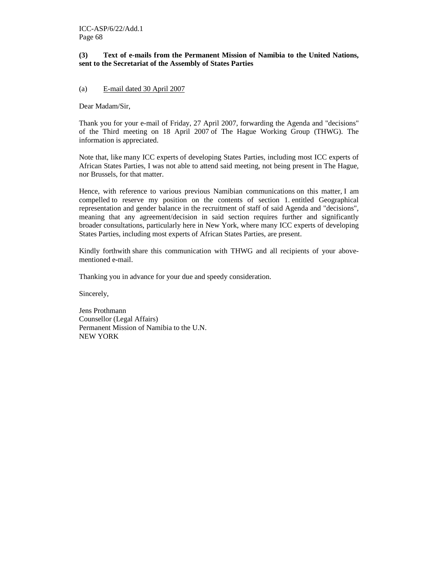#### **(3) Text of e-mails from the Permanent Mission of Namibia to the United Nations, sent to the Secretariat of the Assembly of States Parties**

#### (a) E-mail dated 30 April 2007

Dear Madam/Sir,

Thank you for your e-mail of Friday, 27 April 2007, forwarding the Agenda and "decisions" of the Third meeting on 18 April 2007 of The Hague Working Group (THWG). The information is appreciated.

Note that, like many ICC experts of developing States Parties, including most ICC experts of African States Parties, I was not able to attend said meeting, not being present in The Hague, nor Brussels, for that matter.

Hence, with reference to various previous Namibian communications on this matter, I am compelled to reserve my position on the contents of section 1. entitled Geographical representation and gender balance in the recruitment of staff of said Agenda and "decisions", meaning that any agreement/decision in said section requires further and significantly broader consultations, particularly here in New York, where many ICC experts of developing States Parties, including most experts of African States Parties, are present.

Kindly forthwith share this communication with THWG and all recipients of your abovementioned e-mail.

Thanking you in advance for your due and speedy consideration.

Sincerely,

Jens Prothmann Counsellor (Legal Affairs) Permanent Mission of Namibia to the U.N. NEW YORK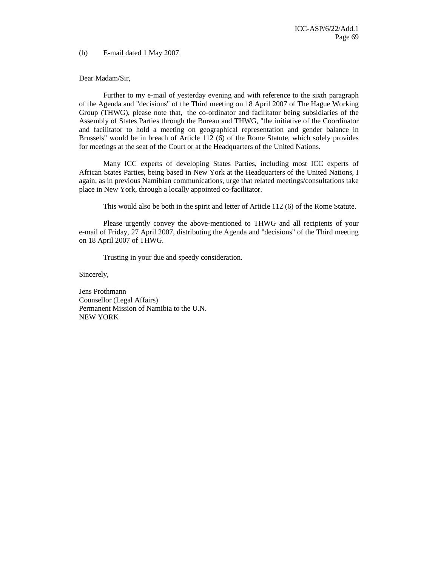(b) E-mail dated 1 May 2007

Dear Madam/Sir,

Further to my e-mail of yesterday evening and with reference to the sixth paragraph of the Agenda and "decisions" of the Third meeting on 18 April 2007 of The Hague Working Group (THWG), please note that, the co-ordinator and facilitator being subsidiaries of the Assembly of States Parties through the Bureau and THWG, "the initiative of the Coordinator and facilitator to hold a meeting on geographical representation and gender balance in Brussels" would be in breach of Article 112 (6) of the Rome Statute, which solely provides for meetings at the seat of the Court or at the Headquarters of the United Nations.

Many ICC experts of developing States Parties, including most ICC experts of African States Parties, being based in New York at the Headquarters of the United Nations, I again, as in previous Namibian communications, urge that related meetings/consultations take place in New York, through a locally appointed co-facilitator.

This would also be both in the spirit and letter of Article 112 (6) of the Rome Statute.

Please urgently convey the above-mentioned to THWG and all recipients of your e-mail of Friday, 27 April 2007, distributing the Agenda and "decisions" of the Third meeting on 18 April 2007 of THWG.

Trusting in your due and speedy consideration.

Sincerely,

Jens Prothmann Counsellor (Legal Affairs) Permanent Mission of Namibia to the U.N. NEW YORK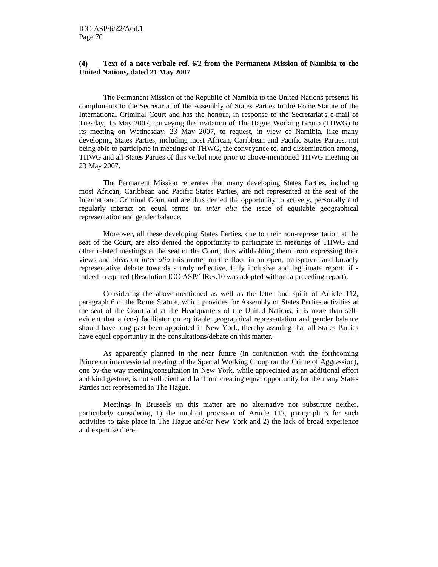#### **(4) Text of a note verbale ref. 6/2 from the Permanent Mission of Namibia to the United Nations, dated 21 May 2007**

The Permanent Mission of the Republic of Namibia to the United Nations presents its compliments to the Secretariat of the Assembly of States Parties to the Rome Statute of the International Criminal Court and has the honour, in response to the Secretariat's e-mail of Tuesday, 15 May 2007, conveying the invitation of The Hague Working Group (THWG) to its meeting on Wednesday, 23 May 2007, to request, in view of Namibia, like many developing States Parties, including most African, Caribbean and Pacific States Parties, not being able to participate in meetings of THWG, the conveyance to, and dissemination among, THWG and all States Parties of this verbal note prior to above-mentioned THWG meeting on 23 May 2007.

The Permanent Mission reiterates that many developing States Parties, including most African, Caribbean and Pacific States Parties, are not represented at the seat of the International Criminal Court and are thus denied the opportunity to actively, personally and regularly interact on equal terms on *inter alia* the issue of equitable geographical representation and gender balance.

Moreover, all these developing States Parties, due to their non-representation at the seat of the Court, are also denied the opportunity to participate in meetings of THWG and other related meetings at the seat of the Court, thus withholding them from expressing their views and ideas on *inter alia* this matter on the floor in an open, transparent and broadly representative debate towards a truly reflective, fully inclusive and legitimate report, if indeed - required (Resolution ICC-ASP/1IRes.10 was adopted without a preceding report).

 Considering the above-mentioned as well as the letter and spirit of Article 112, paragraph 6 of the Rome Statute, which provides for Assembly of States Parties activities at the seat of the Court and at the Headquarters of the United Nations, it is more than selfevident that a (co-) facilitator on equitable geographical representation and gender balance should have long past been appointed in New York, thereby assuring that all States Parties have equal opportunity in the consultations/debate on this matter.

 As apparently planned in the near future (in conjunction with the forthcoming Princeton intercessional meeting of the Special Working Group on the Crime of Aggression), one by-the way meeting/consultation in New York, while appreciated as an additional effort and kind gesture, is not sufficient and far from creating equal opportunity for the many States Parties not represented in The Hague.

 Meetings in Brussels on this matter are no alternative nor substitute neither, particularly considering 1) the implicit provision of Article 112, paragraph 6 for such activities to take place in The Hague and/or New York and 2) the lack of broad experience and expertise there.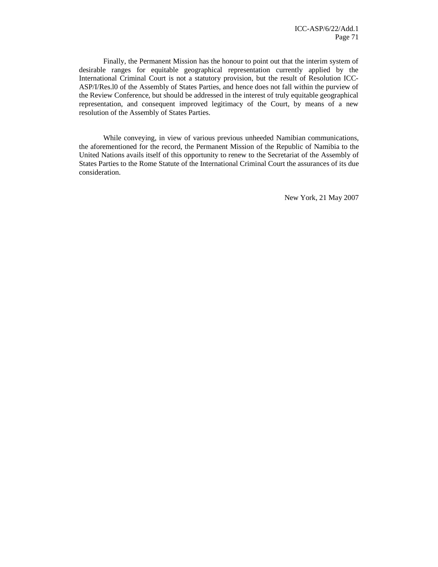Finally, the Permanent Mission has the honour to point out that the interim system of desirable ranges for equitable geographical representation currently applied by the International Criminal Court is not a statutory provision, but the result of Resolution ICC-ASP/I/Res.l0 of the Assembly of States Parties, and hence does not fall within the purview of the Review Conference, but should be addressed in the interest of truly equitable geographical representation, and consequent improved legitimacy of the Court, by means of a new resolution of the Assembly of States Parties.

While conveying, in view of various previous unheeded Namibian communications, the aforementioned for the record, the Permanent Mission of the Republic of Namibia to the United Nations avails itself of this opportunity to renew to the Secretariat of the Assembly of States Parties to the Rome Statute of the International Criminal Court the assurances of its due consideration.

New York, 21 May 2007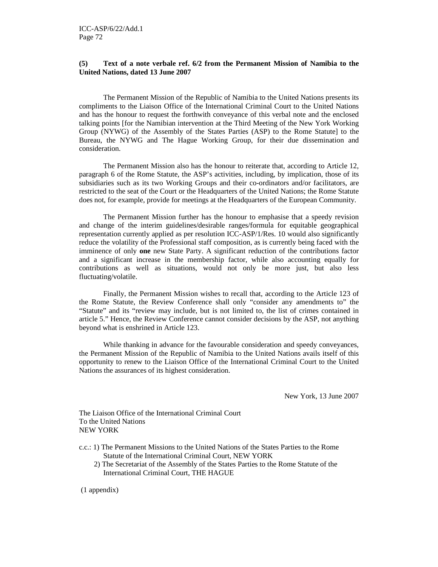#### **(5) Text of a note verbale ref. 6/2 from the Permanent Mission of Namibia to the United Nations, dated 13 June 2007**

The Permanent Mission of the Republic of Namibia to the United Nations presents its compliments to the Liaison Office of the International Criminal Court to the United Nations and has the honour to request the forthwith conveyance of this verbal note and the enclosed talking points [for the Namibian intervention at the Third Meeting of the New York Working Group (NYWG) of the Assembly of the States Parties (ASP) to the Rome Statute] to the Bureau, the NYWG and The Hague Working Group, for their due dissemination and consideration.

The Permanent Mission also has the honour to reiterate that, according to Article 12, paragraph 6 of the Rome Statute, the ASP's activities, including, by implication, those of its subsidiaries such as its two Working Groups and their co-ordinators and/or facilitators, are restricted to the seat of the Court or the Headquarters of the United Nations; the Rome Statute does not, for example, provide for meetings at the Headquarters of the European Community.

 The Permanent Mission further has the honour to emphasise that a speedy revision and change of the interim guidelines/desirable ranges/formula for equitable geographical representation currently applied as per resolution ICC-ASP/1/Res. 10 would also significantly reduce the volatility of the Professional staff composition, as is currently being faced with the imminence of only **one** new State Party. A significant reduction of the contributions factor and a significant increase in the membership factor, while also accounting equally for contributions as well as situations, would not only be more just, but also less fluctuating/volatile.

Finally, the Permanent Mission wishes to recall that, according to the Article 123 of the Rome Statute, the Review Conference shall only "consider any amendments to" the "Statute" and its "review may include, but is not limited to, the list of crimes contained in article 5." Hence, the Review Conference cannot consider decisions by the ASP, not anything beyond what is enshrined in Article 123.

While thanking in advance for the favourable consideration and speedy conveyances, the Permanent Mission of the Republic of Namibia to the United Nations avails itself of this opportunity to renew to the Liaison Office of the International Criminal Court to the United Nations the assurances of its highest consideration.

New York, 13 June 2007

The Liaison Office of the International Criminal Court To the United Nations NEW YORK

- c.c.: 1) The Permanent Missions to the United Nations of the States Parties to the Rome Statute of the International Criminal Court, NEW YORK
	- 2) The Secretariat of the Assembly of the States Parties to the Rome Statute of the International Criminal Court, THE HAGUE

(1 appendix)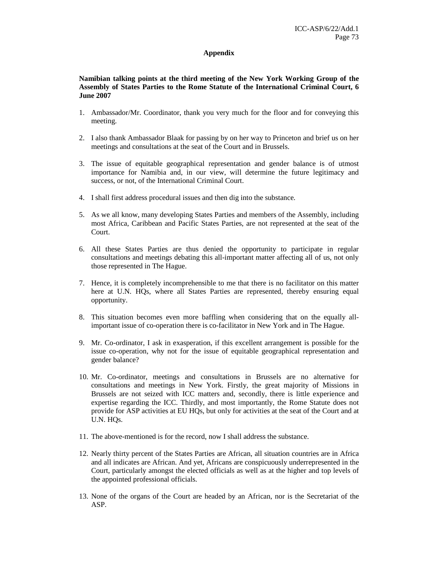## **Appendix**

## **Namibian talking points at the third meeting of the New York Working Group of the Assembly of States Parties to the Rome Statute of the International Criminal Court, 6 June 2007**

- 1. Ambassador/Mr. Coordinator, thank you very much for the floor and for conveying this meeting.
- 2. I also thank Ambassador Blaak for passing by on her way to Princeton and brief us on her meetings and consultations at the seat of the Court and in Brussels.
- 3. The issue of equitable geographical representation and gender balance is of utmost importance for Namibia and, in our view, will determine the future legitimacy and success, or not, of the International Criminal Court.
- 4. I shall first address procedural issues and then dig into the substance.
- 5. As we all know, many developing States Parties and members of the Assembly, including most Africa, Caribbean and Pacific States Parties, are not represented at the seat of the Court.
- 6. All these States Parties are thus denied the opportunity to participate in regular consultations and meetings debating this all-important matter affecting all of us, not only those represented in The Hague.
- 7. Hence, it is completely incomprehensible to me that there is no facilitator on this matter here at U.N. HQs, where all States Parties are represented, thereby ensuring equal opportunity.
- 8. This situation becomes even more baffling when considering that on the equally allimportant issue of co-operation there is co-facilitator in New York and in The Hague.
- 9. Mr. Co-ordinator, I ask in exasperation, if this excellent arrangement is possible for the issue co-operation, why not for the issue of equitable geographical representation and gender balance?
- 10. Mr. Co-ordinator, meetings and consultations in Brussels are no alternative for consultations and meetings in New York. Firstly, the great majority of Missions in Brussels are not seized with ICC matters and, secondly, there is little experience and expertise regarding the ICC. Thirdly, and most importantly, the Rome Statute does not provide for ASP activities at EU HQs, but only for activities at the seat of the Court and at U.N. HQs.
- 11. The above-mentioned is for the record, now I shall address the substance.
- 12. Nearly thirty percent of the States Parties are African, all situation countries are in Africa and all indicates are African. And yet, Africans are conspicuously underrepresented in the Court, particularly amongst the elected officials as well as at the higher and top levels of the appointed professional officials.
- 13. None of the organs of the Court are headed by an African, nor is the Secretariat of the ASP.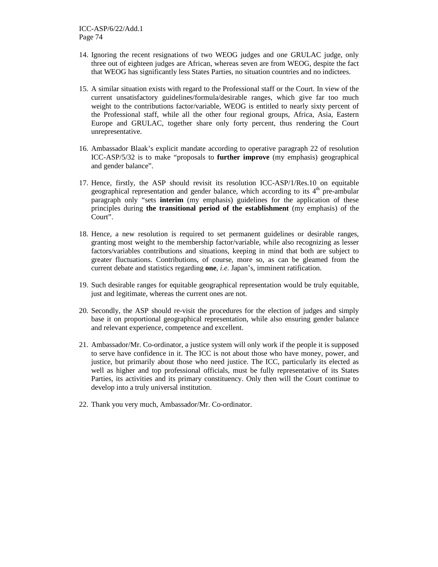- 14. Ignoring the recent resignations of two WEOG judges and one GRULAC judge, only three out of eighteen judges are African, whereas seven are from WEOG, despite the fact that WEOG has significantly less States Parties, no situation countries and no indictees.
- 15. A similar situation exists with regard to the Professional staff or the Court. In view of the current unsatisfactory guidelines/formula/desirable ranges, which give far too much weight to the contributions factor/variable, WEOG is entitled to nearly sixty percent of the Professional staff, while all the other four regional groups, Africa, Asia, Eastern Europe and GRULAC, together share only forty percent, thus rendering the Court unrepresentative.
- 16. Ambassador Blaak's explicit mandate according to operative paragraph 22 of resolution ICC-ASP/5/32 is to make "proposals to **further improve** (my emphasis) geographical and gender balance".
- 17. Hence, firstly, the ASP should revisit its resolution ICC-ASP/1/Res.10 on equitable geographical representation and gender balance, which according to its  $4<sup>th</sup>$  pre-ambular paragraph only "sets **interim** (my emphasis) guidelines for the application of these principles during **the transitional period of the establishment** (my emphasis) of the Court".
- 18. Hence, a new resolution is required to set permanent guidelines or desirable ranges, granting most weight to the membership factor/variable, while also recognizing as lesser factors/variables contributions and situations, keeping in mind that both are subject to greater fluctuations. Contributions, of course, more so, as can be gleamed from the current debate and statistics regarding **one**, *i.e*. Japan's, imminent ratification.
- 19. Such desirable ranges for equitable geographical representation would be truly equitable, just and legitimate, whereas the current ones are not.
- 20. Secondly, the ASP should re-visit the procedures for the election of judges and simply base it on proportional geographical representation, while also ensuring gender balance and relevant experience, competence and excellent.
- 21. Ambassador/Mr. Co-ordinator, a justice system will only work if the people it is supposed to serve have confidence in it. The ICC is not about those who have money, power, and justice, but primarily about those who need justice. The ICC, particularly its elected as well as higher and top professional officials, must be fully representative of its States Parties, its activities and its primary constituency. Only then will the Court continue to develop into a truly universal institution.
- 22. Thank you very much, Ambassador/Mr. Co-ordinator.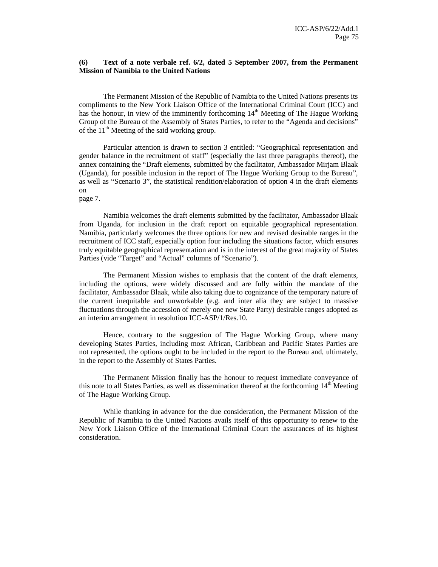## **(6) Text of a note verbale ref. 6/2, dated 5 September 2007, from the Permanent Mission of Namibia to the United Nations**

The Permanent Mission of the Republic of Namibia to the United Nations presents its compliments to the New York Liaison Office of the International Criminal Court (ICC) and has the honour, in view of the imminently forthcoming 14<sup>th</sup> Meeting of The Hague Working Group of the Bureau of the Assembly of States Parties, to refer to the "Agenda and decisions" of the 11<sup>th</sup> Meeting of the said working group.

Particular attention is drawn to section 3 entitled: "Geographical representation and gender balance in the recruitment of staff" (especially the last three paragraphs thereof), the annex containing the "Draft elements, submitted by the facilitator, Ambassador Mirjam Blaak (Uganda), for possible inclusion in the report of The Hague Working Group to the Bureau", as well as "Scenario 3", the statistical rendition/elaboration of option 4 in the draft elements on

page 7.

Namibia welcomes the draft elements submitted by the facilitator, Ambassador Blaak from Uganda, for inclusion in the draft report on equitable geographical representation. Namibia, particularly welcomes the three options for new and revised desirable ranges in the recruitment of ICC staff, especially option four including the situations factor, which ensures truly equitable geographical representation and is in the interest of the great majority of States Parties (vide "Target" and "Actual" columns of "Scenario").

The Permanent Mission wishes to emphasis that the content of the draft elements, including the options, were widely discussed and are fully within the mandate of the facilitator, Ambassador Blaak, while also taking due to cognizance of the temporary nature of the current inequitable and unworkable (e.g. and inter alia they are subject to massive fluctuations through the accession of merely one new State Party) desirable ranges adopted as an interim arrangement in resolution ICC-ASP/1/Res.10.

Hence, contrary to the suggestion of The Hague Working Group, where many developing States Parties, including most African, Caribbean and Pacific States Parties are not represented, the options ought to be included in the report to the Bureau and, ultimately, in the report to the Assembly of States Parties.

The Permanent Mission finally has the honour to request immediate conveyance of this note to all States Parties, as well as dissemination thereof at the forthcoming  $14<sup>th</sup>$  Meeting of The Hague Working Group.

While thanking in advance for the due consideration, the Permanent Mission of the Republic of Namibia to the United Nations avails itself of this opportunity to renew to the New York Liaison Office of the International Criminal Court the assurances of its highest consideration.